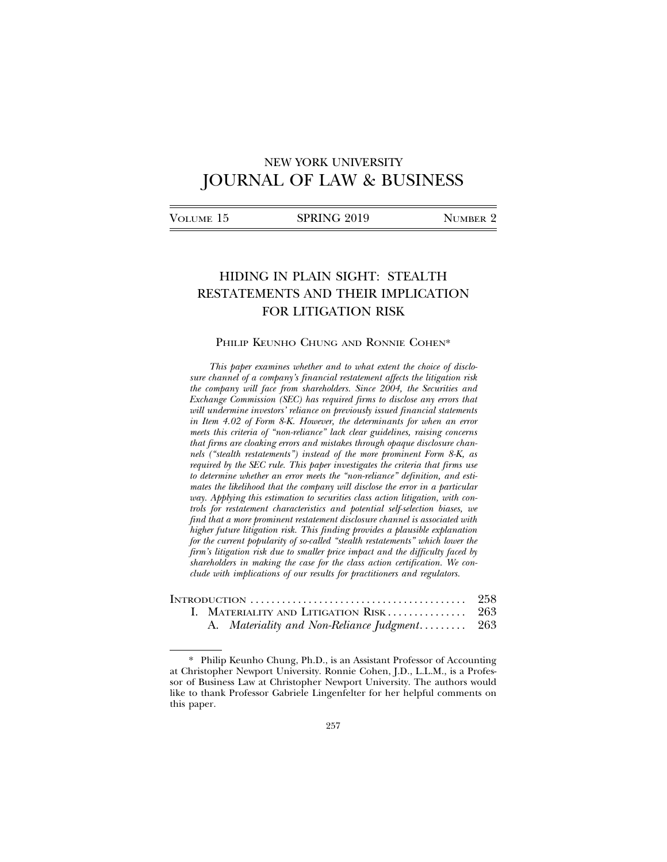# NEW YORK UNIVERSITY JOURNAL OF LAW & BUSINESS

| Volume 15 | SPRING 2019 | NUMBER 2 |
|-----------|-------------|----------|
|           |             |          |

# HIDING IN PLAIN SIGHT: STEALTH RESTATEMENTS AND THEIR IMPLICATION FOR LITIGATION RISK

## PHILIP KEUNHO CHUNG AND RONNIE COHEN\*

*This paper examines whether and to what extent the choice of disclosure channel of a company's financial restatement affects the litigation risk the company will face from shareholders. Since 2004, the Securities and Exchange Commission (SEC) has required firms to disclose any errors that will undermine investors' reliance on previously issued financial statements in Item 4.02 of Form 8-K. However, the determinants for when an error meets this criteria of "non-reliance" lack clear guidelines, raising concerns that firms are cloaking errors and mistakes through opaque disclosure channels ("stealth restatements") instead of the more prominent Form 8-K, as required by the SEC rule. This paper investigates the criteria that firms use to determine whether an error meets the "non-reliance" definition, and estimates the likelihood that the company will disclose the error in a particular way. Applying this estimation to securities class action litigation, with controls for restatement characteristics and potential self-selection biases, we find that a more prominent restatement disclosure channel is associated with higher future litigation risk. This finding provides a plausible explanation for the current popularity of so-called "stealth restatements" which lower the firm's litigation risk due to smaller price impact and the difficulty faced by shareholders in making the case for the class action certification. We conclude with implications of our results for practitioners and regulators.*

|  | INTRODUCTION $\ldots \ldots \ldots \ldots \ldots \ldots \ldots \ldots \ldots \ldots \ldots \ldots$ 258 |  |
|--|--------------------------------------------------------------------------------------------------------|--|
|  |                                                                                                        |  |
|  | A. Materiality and Non-Reliance Judgment 263                                                           |  |

<sup>\*</sup> Philip Keunho Chung, Ph.D., is an Assistant Professor of Accounting at Christopher Newport University. Ronnie Cohen, J.D., L.L.M., is a Professor of Business Law at Christopher Newport University. The authors would like to thank Professor Gabriele Lingenfelter for her helpful comments on this paper.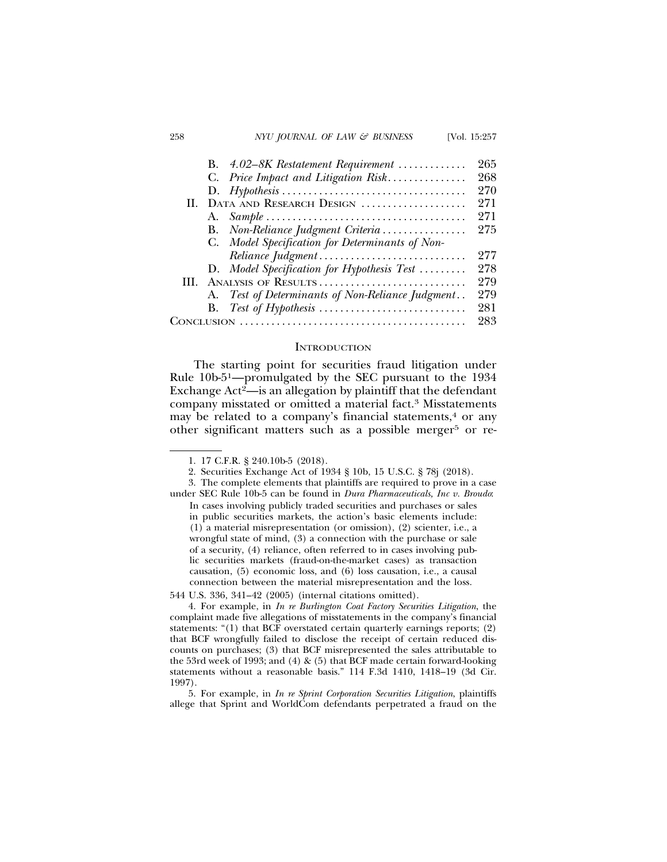#### 258 *NYU JOURNAL OF LAW & BUSINESS* [Vol. 15:257

|    | B. 4.02–8K Restatement Requirement               | 265 |
|----|--------------------------------------------------|-----|
|    | C. Price Impact and Litigation Risk              | 268 |
|    |                                                  | 270 |
| Н. | DATA AND RESEARCH DESIGN                         | 271 |
|    |                                                  | 271 |
|    | B. Non-Reliance Judgment Criteria                | 275 |
|    | C. Model Specification for Determinants of Non-  |     |
|    | Reliance Judgment                                | 277 |
|    | D. Model Specification for Hypothesis Test       | 278 |
| Ш  | ANALYSIS OF RESULTS                              | 279 |
|    | A. Test of Determinants of Non-Reliance Judgment | 279 |
|    |                                                  | 281 |
|    |                                                  | 283 |
|    |                                                  |     |

#### **INTRODUCTION**

The starting point for securities fraud litigation under Rule 10b-51—promulgated by the SEC pursuant to the 1934 Exchange  $Act^2$ —is an allegation by plaintiff that the defendant company misstated or omitted a material fact.3 Misstatements may be related to a company's financial statements, $4$  or any other significant matters such as a possible merger<sup>5</sup> or re-

5. For example, in *In re Sprint Corporation Securities Litigation*, plaintiffs allege that Sprint and WorldCom defendants perpetrated a fraud on the

<sup>1. 17</sup> C.F.R. § 240.10b-5 (2018).

<sup>2.</sup> Securities Exchange Act of 1934 § 10b, 15 U.S.C. § 78j (2018).

<sup>3.</sup> The complete elements that plaintiffs are required to prove in a case under SEC Rule 10b-5 can be found in *Dura Pharmaceuticals, Inc v. Broudo*:

In cases involving publicly traded securities and purchases or sales in public securities markets, the action's basic elements include: (1) a material misrepresentation (or omission), (2) scienter, i.e., a wrongful state of mind, (3) a connection with the purchase or sale of a security, (4) reliance, often referred to in cases involving public securities markets (fraud-on-the-market cases) as transaction causation, (5) economic loss, and (6) loss causation, i.e., a causal connection between the material misrepresentation and the loss.

<sup>544</sup> U.S. 336, 341–42 (2005) (internal citations omitted).

<sup>4.</sup> For example, in *In re Burlington Coat Factory Securities Litigation*, the complaint made five allegations of misstatements in the company's financial statements: "(1) that BCF overstated certain quarterly earnings reports; (2) that BCF wrongfully failed to disclose the receipt of certain reduced discounts on purchases; (3) that BCF misrepresented the sales attributable to the 53rd week of 1993; and (4) & (5) that BCF made certain forward-looking statements without a reasonable basis." 114 F.3d 1410, 1418–19 (3d Cir. 1997).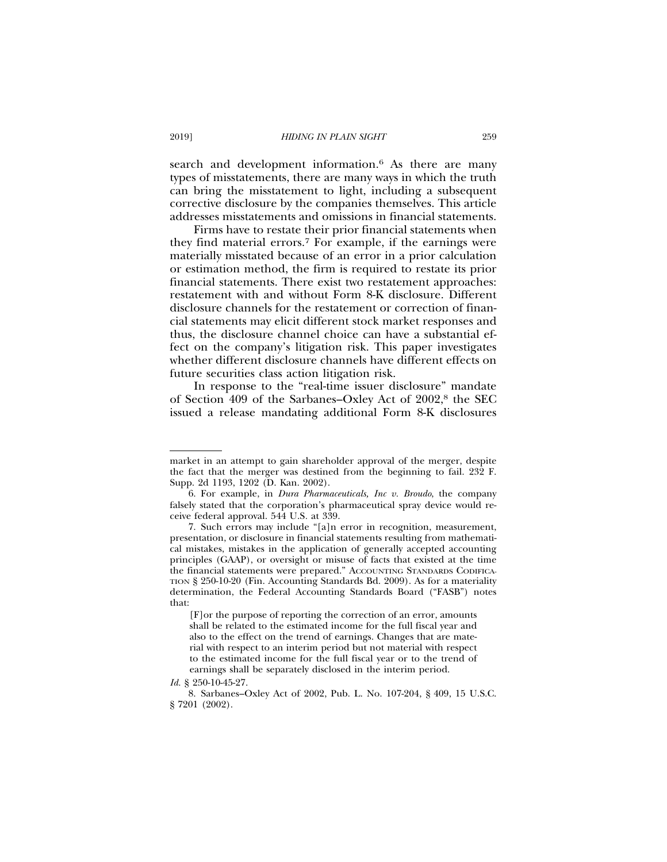search and development information.<sup>6</sup> As there are many types of misstatements, there are many ways in which the truth can bring the misstatement to light, including a subsequent corrective disclosure by the companies themselves. This article addresses misstatements and omissions in financial statements.

Firms have to restate their prior financial statements when they find material errors.7 For example, if the earnings were materially misstated because of an error in a prior calculation or estimation method, the firm is required to restate its prior financial statements. There exist two restatement approaches: restatement with and without Form 8-K disclosure. Different disclosure channels for the restatement or correction of financial statements may elicit different stock market responses and thus, the disclosure channel choice can have a substantial effect on the company's litigation risk. This paper investigates whether different disclosure channels have different effects on future securities class action litigation risk.

In response to the "real-time issuer disclosure" mandate of Section 409 of the Sarbanes–Oxley Act of 2002,8 the SEC issued a release mandating additional Form 8-K disclosures

market in an attempt to gain shareholder approval of the merger, despite the fact that the merger was destined from the beginning to fail. 232 F. Supp. 2d 1193, 1202 (D. Kan. 2002).

<sup>6.</sup> For example, in *Dura Pharmaceuticals, Inc v. Broudo*, the company falsely stated that the corporation's pharmaceutical spray device would receive federal approval. 544 U.S*.* at 339.

<sup>7.</sup> Such errors may include "[a]n error in recognition, measurement, presentation, or disclosure in financial statements resulting from mathematical mistakes, mistakes in the application of generally accepted accounting principles (GAAP), or oversight or misuse of facts that existed at the time the financial statements were prepared." ACCOUNTING STANDARDS CODIFICA-TION § 250-10-20 (Fin. Accounting Standards Bd. 2009). As for a materiality determination, the Federal Accounting Standards Board ("FASB") notes that:

<sup>[</sup>F]or the purpose of reporting the correction of an error, amounts shall be related to the estimated income for the full fiscal year and also to the effect on the trend of earnings. Changes that are material with respect to an interim period but not material with respect to the estimated income for the full fiscal year or to the trend of earnings shall be separately disclosed in the interim period.

*Id.* § 250-10-45-27.

<sup>8.</sup> Sarbanes–Oxley Act of 2002, Pub. L. No. 107-204, § 409, 15 U.S.C. § 7201 (2002).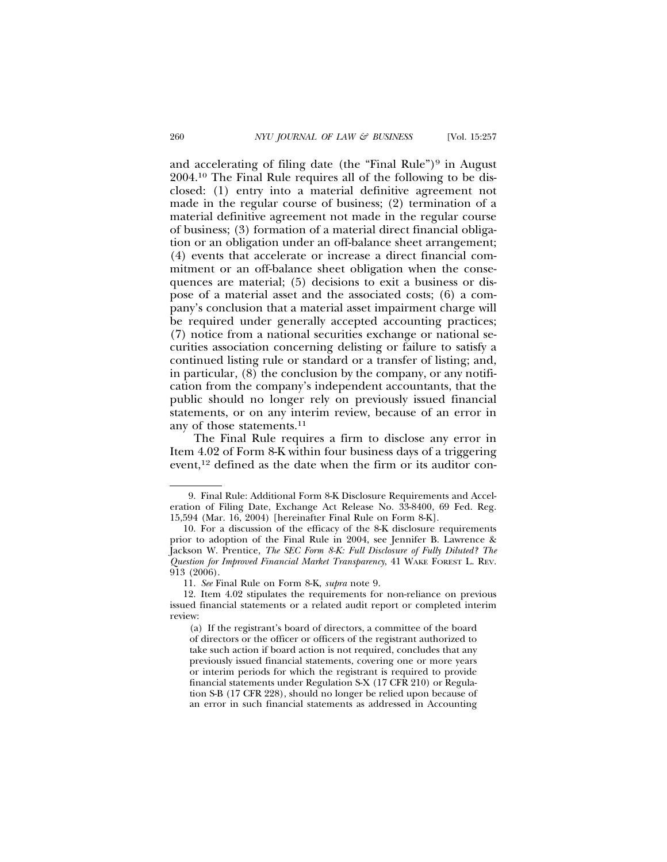and accelerating of filing date (the "Final Rule")<sup>9</sup> in August 2004.10 The Final Rule requires all of the following to be disclosed: (1) entry into a material definitive agreement not made in the regular course of business; (2) termination of a material definitive agreement not made in the regular course of business; (3) formation of a material direct financial obligation or an obligation under an off-balance sheet arrangement; (4) events that accelerate or increase a direct financial commitment or an off-balance sheet obligation when the consequences are material; (5) decisions to exit a business or dispose of a material asset and the associated costs; (6) a company's conclusion that a material asset impairment charge will be required under generally accepted accounting practices; (7) notice from a national securities exchange or national securities association concerning delisting or failure to satisfy a continued listing rule or standard or a transfer of listing; and, in particular, (8) the conclusion by the company, or any notification from the company's independent accountants, that the public should no longer rely on previously issued financial statements, or on any interim review, because of an error in any of those statements.11

The Final Rule requires a firm to disclose any error in Item 4.02 of Form 8-K within four business days of a triggering event,12 defined as the date when the firm or its auditor con-

<sup>9.</sup> Final Rule: Additional Form 8-K Disclosure Requirements and Acceleration of Filing Date, Exchange Act Release No. 33-8400, 69 Fed. Reg. 15,594 (Mar. 16, 2004) [hereinafter Final Rule on Form 8-K].

<sup>10.</sup> For a discussion of the efficacy of the 8-K disclosure requirements prior to adoption of the Final Rule in 2004, see Jennifer B. Lawrence & Jackson W. Prentice, *The SEC Form 8-K: Full Disclosure of Fully Diluted? The Question for Improved Financial Market Transparency*, 41 WAKE FOREST L. REV. 913 (2006).

<sup>11.</sup> *See* Final Rule on Form 8-K, *supra* note 9.

<sup>12.</sup> Item 4.02 stipulates the requirements for non-reliance on previous issued financial statements or a related audit report or completed interim review:

<sup>(</sup>a) If the registrant's board of directors, a committee of the board of directors or the officer or officers of the registrant authorized to take such action if board action is not required, concludes that any previously issued financial statements, covering one or more years or interim periods for which the registrant is required to provide financial statements under Regulation S-X (17 CFR 210) or Regulation S-B (17 CFR 228), should no longer be relied upon because of an error in such financial statements as addressed in Accounting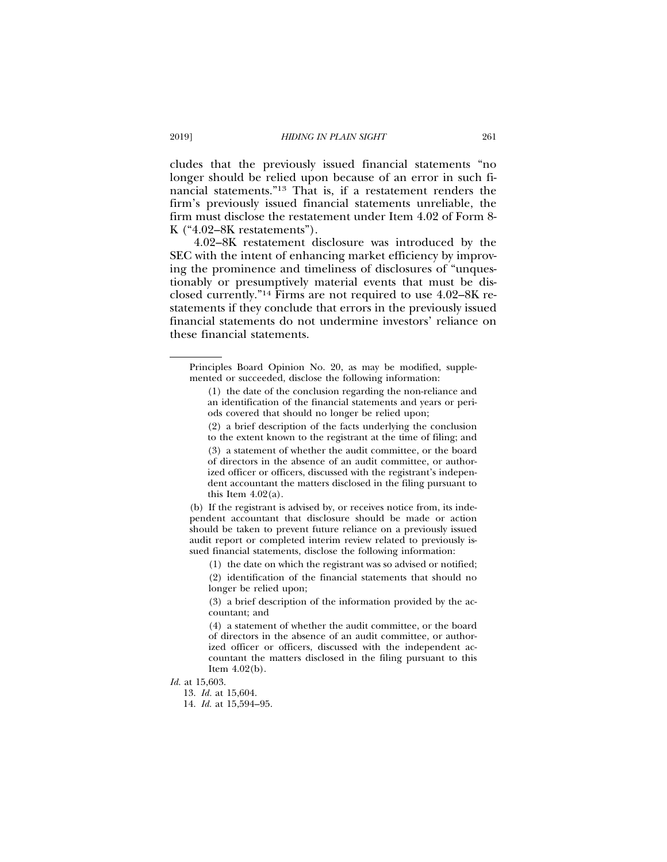cludes that the previously issued financial statements "no longer should be relied upon because of an error in such financial statements."13 That is, if a restatement renders the firm's previously issued financial statements unreliable, the firm must disclose the restatement under Item 4.02 of Form 8- K ("4.02–8K restatements").

4.02–8K restatement disclosure was introduced by the SEC with the intent of enhancing market efficiency by improving the prominence and timeliness of disclosures of "unquestionably or presumptively material events that must be disclosed currently."14 Firms are not required to use 4.02–8K restatements if they conclude that errors in the previously issued financial statements do not undermine investors' reliance on these financial statements.

(2) a brief description of the facts underlying the conclusion to the extent known to the registrant at the time of filing; and

14. *Id.* at 15,594–95.

Principles Board Opinion No. 20, as may be modified, supplemented or succeeded, disclose the following information:

<sup>(1)</sup> the date of the conclusion regarding the non-reliance and an identification of the financial statements and years or periods covered that should no longer be relied upon;

<sup>(3)</sup> a statement of whether the audit committee, or the board of directors in the absence of an audit committee, or authorized officer or officers, discussed with the registrant's independent accountant the matters disclosed in the filing pursuant to this Item  $4.02(a)$ .

<sup>(</sup>b) If the registrant is advised by, or receives notice from, its independent accountant that disclosure should be made or action should be taken to prevent future reliance on a previously issued audit report or completed interim review related to previously issued financial statements, disclose the following information:

<sup>(1)</sup> the date on which the registrant was so advised or notified; (2) identification of the financial statements that should no

longer be relied upon;

<sup>(3)</sup> a brief description of the information provided by the accountant; and

<sup>(4)</sup> a statement of whether the audit committee, or the board of directors in the absence of an audit committee, or authorized officer or officers, discussed with the independent accountant the matters disclosed in the filing pursuant to this Item  $4.02(b)$ .

*Id.* at 15,603.

<sup>13.</sup> *Id.* at 15,604.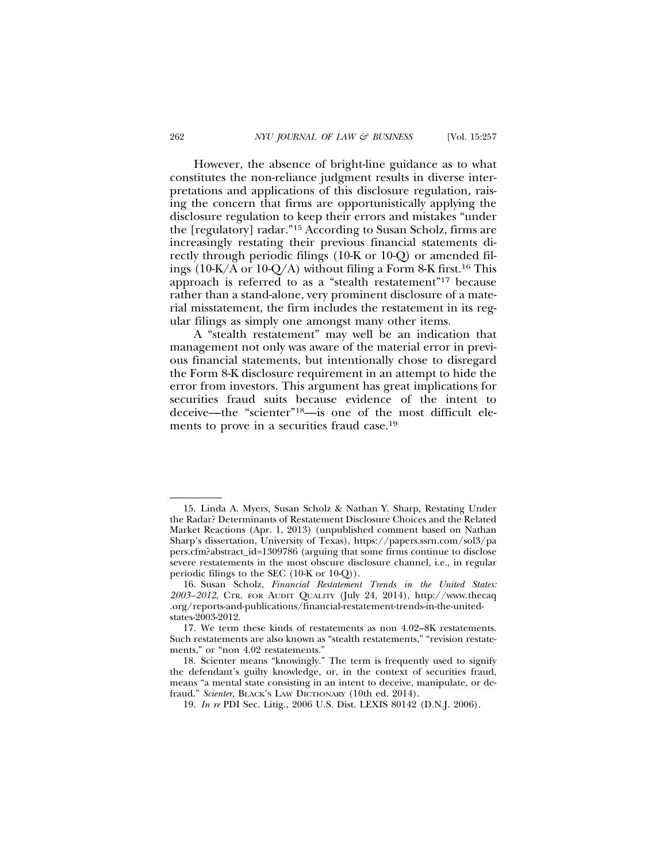However, the absence of bright-line guidance as to what constitutes the non-reliance judgment results in diverse interpretations and applications of this disclosure regulation, raising the concern that firms are opportunistically applying the disclosure regulation to keep their errors and mistakes "under the [regulatory] radar."15 According to Susan Scholz, firms are increasingly restating their previous financial statements directly through periodic filings (10-K or 10-Q) or amended filings (10-K/A or 10-Q/A) without filing a Form 8-K first.<sup>16</sup> This approach is referred to as a "stealth restatement"17 because rather than a stand-alone, very prominent disclosure of a material misstatement, the firm includes the restatement in its regular filings as simply one amongst many other items.

A "stealth restatement" may well be an indication that management not only was aware of the material error in previous financial statements, but intentionally chose to disregard the Form 8-K disclosure requirement in an attempt to hide the error from investors. This argument has great implications for securities fraud suits because evidence of the intent to deceive—the "scienter"18—is one of the most difficult elements to prove in a securities fraud case.<sup>19</sup>

<sup>15.</sup> Linda A. Myers, Susan Scholz & Nathan Y. Sharp, Restating Under the Radar? Determinants of Restatement Disclosure Choices and the Related Market Reactions (Apr. 1, 2013) (unpublished comment based on Nathan Sharp's dissertation, University of Texas), https://papers.ssrn.com/sol3/pa pers.cfm?abstract\_id=1309786 (arguing that some firms continue to disclose severe restatements in the most obscure disclosure channel, i.e., in regular periodic filings to the SEC (10-K or 10-Q)).

<sup>16.</sup> Susan Scholz, *Financial Restatement Trends in the United States: 2003–2012*, CTR. FOR AUDIT QUALITY (July 24, 2014), http://www.thecaq .org/reports-and-publications/financial-restatement-trends-in-the-unitedstates-2003-2012.

<sup>17.</sup> We term these kinds of restatements as non 4.02–8K restatements. Such restatements are also known as "stealth restatements," "revision restatements," or "non 4.02 restatements."

<sup>18.</sup> Scienter means "knowingly." The term is frequently used to signify the defendant's guilty knowledge, or, in the context of securities fraud, means "a mental state consisting in an intent to deceive, manipulate, or defraud." *Scienter,* BLACK'S LAW DICTIONARY (10th ed. 2014).

<sup>19.</sup> *In re* PDI Sec. Litig., 2006 U.S. Dist. LEXIS 80142 (D.N.J. 2006).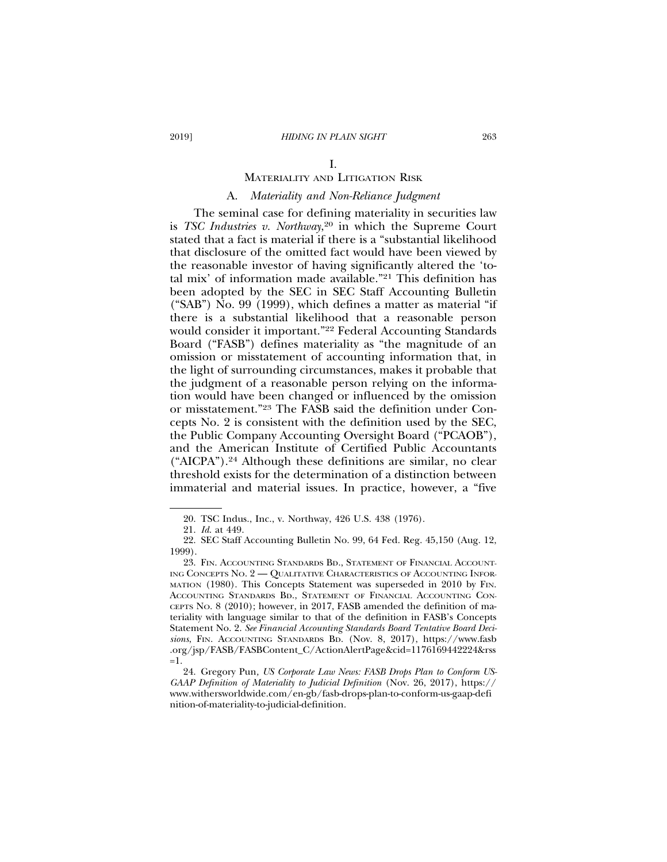#### I.

# MATERIALITY AND LITIGATION RISK

# A. *Materiality and Non-Reliance Judgment*

The seminal case for defining materiality in securities law is *TSC Industries v. Northway*, 20 in which the Supreme Court stated that a fact is material if there is a "substantial likelihood that disclosure of the omitted fact would have been viewed by the reasonable investor of having significantly altered the 'total mix' of information made available."21 This definition has been adopted by the SEC in SEC Staff Accounting Bulletin ("SAB") No. 99 (1999), which defines a matter as material "if there is a substantial likelihood that a reasonable person would consider it important."22 Federal Accounting Standards Board ("FASB") defines materiality as "the magnitude of an omission or misstatement of accounting information that, in the light of surrounding circumstances, makes it probable that the judgment of a reasonable person relying on the information would have been changed or influenced by the omission or misstatement."23 The FASB said the definition under Concepts No. 2 is consistent with the definition used by the SEC, the Public Company Accounting Oversight Board ("PCAOB"), and the American Institute of Certified Public Accountants ("AICPA").24 Although these definitions are similar, no clear threshold exists for the determination of a distinction between immaterial and material issues. In practice, however, a "five

<sup>20.</sup> TSC Indus., Inc., v. Northway, 426 U.S. 438 (1976).

<sup>21.</sup> *Id*. at 449.

<sup>22.</sup> SEC Staff Accounting Bulletin No. 99, 64 Fed. Reg. 45,150 (Aug. 12, 1999).

<sup>23.</sup> FIN. ACCOUNTING STANDARDS BD., STATEMENT OF FINANCIAL ACCOUNT-ING CONCEPTS NO. 2 — QUALITATIVE CHARACTERISTICS OF ACCOUNTING INFOR-MATION (1980). This Concepts Statement was superseded in 2010 by FIN. ACCOUNTING STANDARDS BD., STATEMENT OF FINANCIAL ACCOUNTING CON-CEPTS No. 8 (2010); however, in 2017, FASB amended the definition of materiality with language similar to that of the definition in FASB's Concepts Statement No. 2. *See Financial Accounting Standards Board Tentative Board Decisions*, FIN. ACCOUNTING STANDARDS BD. (Nov. 8, 2017), https://www.fasb .org/jsp/FASB/FASBContent\_C/ActionAlertPage&cid=1176169442224&rss  $=1$ .

<sup>24.</sup> Gregory Pun*, US Corporate Law News: FASB Drops Plan to Conform US-GAAP Definition of Materiality to Judicial Definition* (Nov. 26, 2017), https:// www.withersworldwide.com/en-gb/fasb-drops-plan-to-conform-us-gaap-defi nition-of-materiality-to-judicial-definition.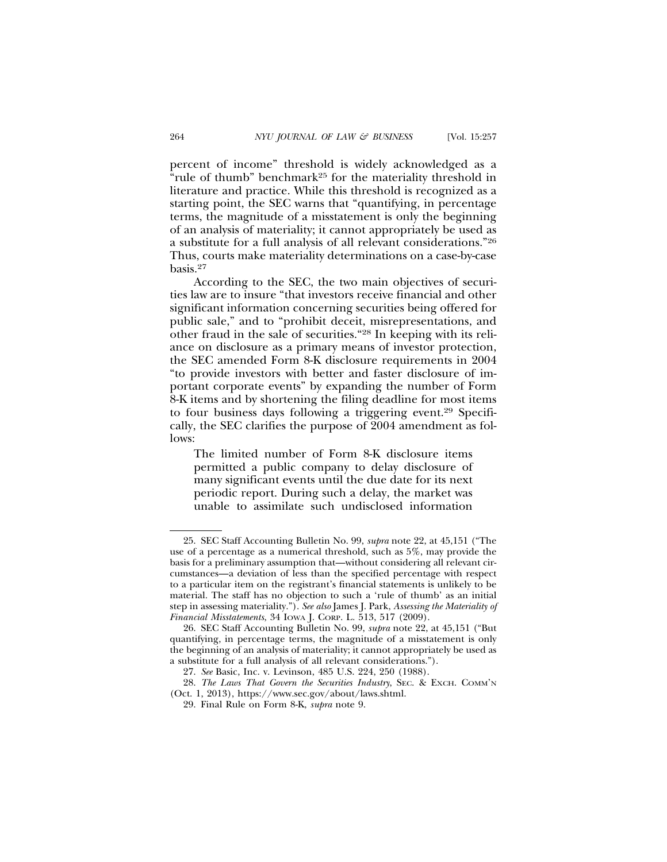percent of income" threshold is widely acknowledged as a "rule of thumb" benchmark25 for the materiality threshold in literature and practice. While this threshold is recognized as a starting point, the SEC warns that "quantifying, in percentage terms, the magnitude of a misstatement is only the beginning of an analysis of materiality; it cannot appropriately be used as a substitute for a full analysis of all relevant considerations."26 Thus, courts make materiality determinations on a case-by-case basis.27

According to the SEC, the two main objectives of securities law are to insure "that investors receive financial and other significant information concerning securities being offered for public sale," and to "prohibit deceit, misrepresentations, and other fraud in the sale of securities."28 In keeping with its reliance on disclosure as a primary means of investor protection, the SEC amended Form 8-K disclosure requirements in 2004 "to provide investors with better and faster disclosure of important corporate events" by expanding the number of Form 8-K items and by shortening the filing deadline for most items to four business days following a triggering event.29 Specifically, the SEC clarifies the purpose of 2004 amendment as follows:

The limited number of Form 8-K disclosure items permitted a public company to delay disclosure of many significant events until the due date for its next periodic report. During such a delay, the market was unable to assimilate such undisclosed information

<sup>25.</sup> SEC Staff Accounting Bulletin No. 99, *supra* note 22, at 45,151 ("The use of a percentage as a numerical threshold, such as 5%, may provide the basis for a preliminary assumption that—without considering all relevant circumstances—a deviation of less than the specified percentage with respect to a particular item on the registrant's financial statements is unlikely to be material. The staff has no objection to such a 'rule of thumb' as an initial step in assessing materiality."). *See also* James J. Park, *Assessing the Materiality of Financial Misstatements*, 34 IOWA J. CORP. L. 513, 517 (2009).

<sup>26.</sup> SEC Staff Accounting Bulletin No. 99, *supra* note 22, at 45,151 ("But quantifying, in percentage terms, the magnitude of a misstatement is only the beginning of an analysis of materiality; it cannot appropriately be used as a substitute for a full analysis of all relevant considerations.").

<sup>27.</sup> *See* Basic, Inc. v. Levinson, 485 U.S. 224, 250 (1988).

<sup>28.</sup> *The Laws That Govern the Securities Industry*, SEC. & EXCH. COMM'N (Oct. 1, 2013), https://www.sec.gov/about/laws.shtml.

<sup>29.</sup> Final Rule on Form 8-K, *supra* note 9.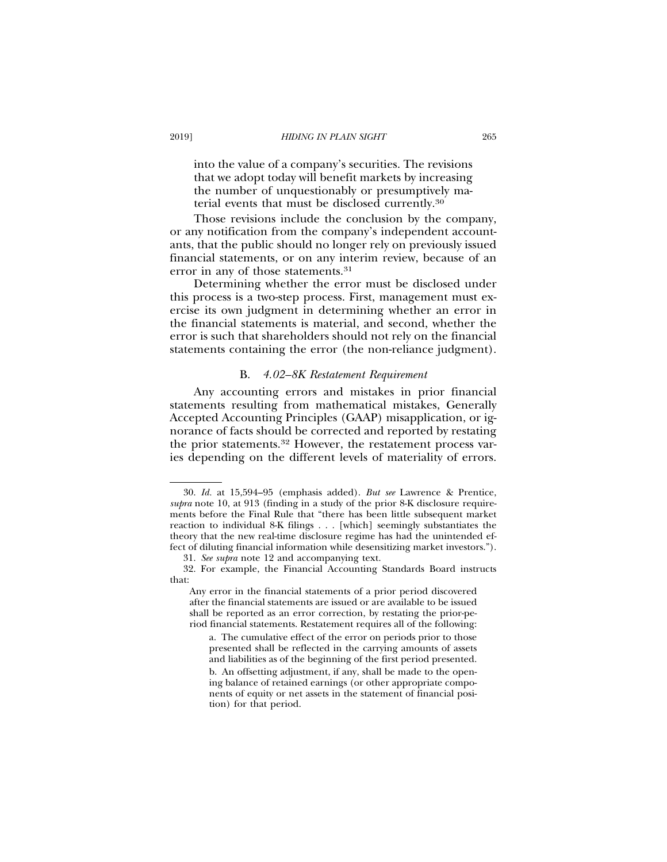into the value of a company's securities. The revisions that we adopt today will benefit markets by increasing the number of unquestionably or presumptively material events that must be disclosed currently.30

Those revisions include the conclusion by the company, or any notification from the company's independent accountants, that the public should no longer rely on previously issued financial statements, or on any interim review, because of an error in any of those statements.31

Determining whether the error must be disclosed under this process is a two-step process. First, management must exercise its own judgment in determining whether an error in the financial statements is material, and second, whether the error is such that shareholders should not rely on the financial statements containing the error (the non-reliance judgment).

#### B. *4.02–8K Restatement Requirement*

Any accounting errors and mistakes in prior financial statements resulting from mathematical mistakes, Generally Accepted Accounting Principles (GAAP) misapplication, or ignorance of facts should be corrected and reported by restating the prior statements.32 However, the restatement process varies depending on the different levels of materiality of errors.

<sup>30.</sup> *Id.* at 15,594–95 (emphasis added). *But see* Lawrence & Prentice, *supra* note 10, at 913 (finding in a study of the prior 8-K disclosure requirements before the Final Rule that "there has been little subsequent market reaction to individual 8-K filings . . . [which] seemingly substantiates the theory that the new real-time disclosure regime has had the unintended effect of diluting financial information while desensitizing market investors.").

<sup>31.</sup> *See supra* note 12 and accompanying text.

<sup>32.</sup> For example, the Financial Accounting Standards Board instructs that:

Any error in the financial statements of a prior period discovered after the financial statements are issued or are available to be issued shall be reported as an error correction, by restating the prior-period financial statements. Restatement requires all of the following:

a. The cumulative effect of the error on periods prior to those presented shall be reflected in the carrying amounts of assets and liabilities as of the beginning of the first period presented.

b. An offsetting adjustment, if any, shall be made to the opening balance of retained earnings (or other appropriate components of equity or net assets in the statement of financial position) for that period.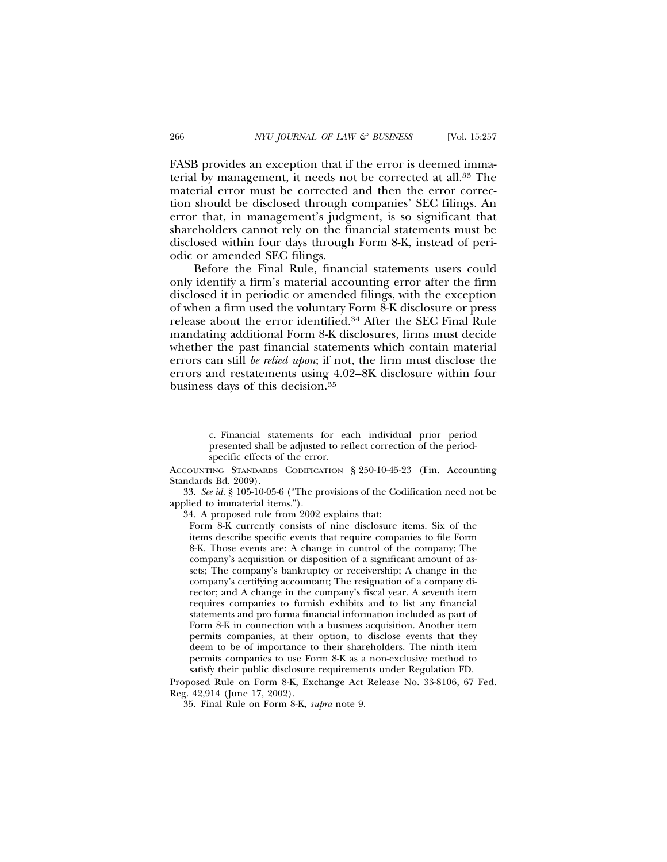FASB provides an exception that if the error is deemed immaterial by management, it needs not be corrected at all.33 The material error must be corrected and then the error correction should be disclosed through companies' SEC filings. An error that, in management's judgment, is so significant that shareholders cannot rely on the financial statements must be disclosed within four days through Form 8-K, instead of periodic or amended SEC filings.

Before the Final Rule, financial statements users could only identify a firm's material accounting error after the firm disclosed it in periodic or amended filings, with the exception of when a firm used the voluntary Form 8-K disclosure or press release about the error identified.34 After the SEC Final Rule mandating additional Form 8-K disclosures, firms must decide whether the past financial statements which contain material errors can still *be relied upon*; if not, the firm must disclose the errors and restatements using 4.02–8K disclosure within four business days of this decision.35

33. *See id.* § 105-10-05-6 ("The provisions of the Codification need not be applied to immaterial items.").

Proposed Rule on Form 8-K, Exchange Act Release No. 33-8106, 67 Fed. Reg. 42,914 (June 17, 2002).

c. Financial statements for each individual prior period presented shall be adjusted to reflect correction of the periodspecific effects of the error.

ACCOUNTING STANDARDS CODIFICATION § 250-10-45-23 (Fin. Accounting Standards Bd. 2009).

<sup>34.</sup> A proposed rule from 2002 explains that:

Form 8-K currently consists of nine disclosure items. Six of the items describe specific events that require companies to file Form 8-K. Those events are: A change in control of the company; The company's acquisition or disposition of a significant amount of assets; The company's bankruptcy or receivership; A change in the company's certifying accountant; The resignation of a company director; and A change in the company's fiscal year. A seventh item requires companies to furnish exhibits and to list any financial statements and pro forma financial information included as part of Form 8-K in connection with a business acquisition. Another item permits companies, at their option, to disclose events that they deem to be of importance to their shareholders. The ninth item permits companies to use Form 8-K as a non-exclusive method to satisfy their public disclosure requirements under Regulation FD.

<sup>35.</sup> Final Rule on Form 8-K, *supra* note 9.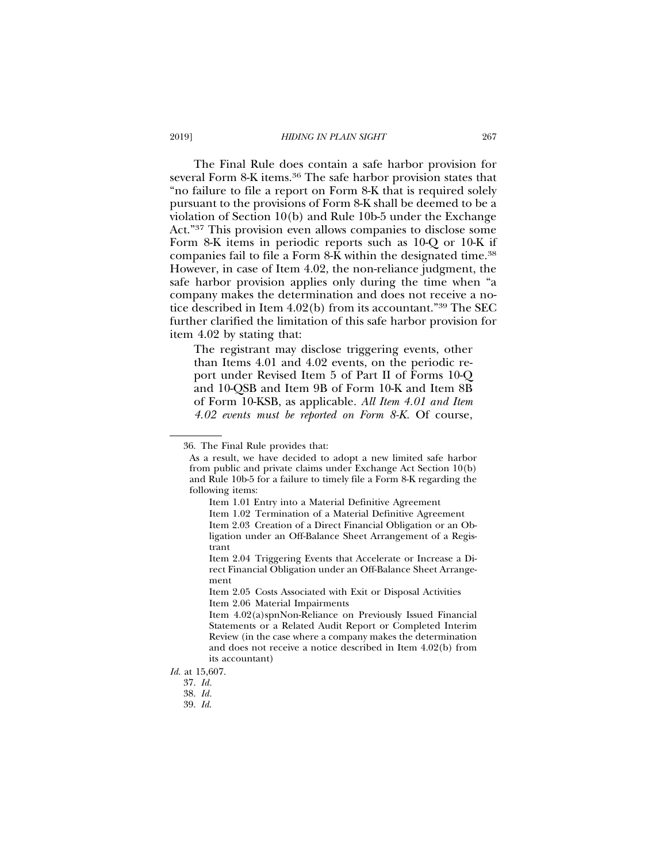The Final Rule does contain a safe harbor provision for several Form 8-K items.36 The safe harbor provision states that "no failure to file a report on Form 8-K that is required solely pursuant to the provisions of Form 8-K shall be deemed to be a violation of Section 10(b) and Rule 10b-5 under the Exchange Act."37 This provision even allows companies to disclose some Form 8-K items in periodic reports such as 10-Q or 10-K if companies fail to file a Form 8-K within the designated time.38 However, in case of Item 4.02, the non-reliance judgment, the safe harbor provision applies only during the time when "a company makes the determination and does not receive a notice described in Item 4.02(b) from its accountant."39 The SEC further clarified the limitation of this safe harbor provision for item 4.02 by stating that:

The registrant may disclose triggering events, other than Items 4.01 and 4.02 events, on the periodic report under Revised Item 5 of Part II of Forms 10-Q and 10-QSB and Item 9B of Form 10-K and Item 8B of Form 10-KSB, as applicable. *All Item 4.01 and Item 4.02 events must be reported on Form 8-K.* Of course,

<sup>36.</sup> The Final Rule provides that:

As a result, we have decided to adopt a new limited safe harbor from public and private claims under Exchange Act Section 10(b) and Rule 10b-5 for a failure to timely file a Form 8-K regarding the following items:

Item 1.01 Entry into a Material Definitive Agreement

Item 1.02 Termination of a Material Definitive Agreement Item 2.03 Creation of a Direct Financial Obligation or an Obligation under an Off-Balance Sheet Arrangement of a Registrant

Item 2.04 Triggering Events that Accelerate or Increase a Direct Financial Obligation under an Off-Balance Sheet Arrangement

Item 2.05 Costs Associated with Exit or Disposal Activities Item 2.06 Material Impairments

Item 4.02(a)spnNon-Reliance on Previously Issued Financial Statements or a Related Audit Report or Completed Interim Review (in the case where a company makes the determination and does not receive a notice described in Item 4.02(b) from its accountant)

*Id.* at 15,607.

<sup>37.</sup> *Id.*

<sup>38.</sup> *Id.*

<sup>39.</sup> *Id*.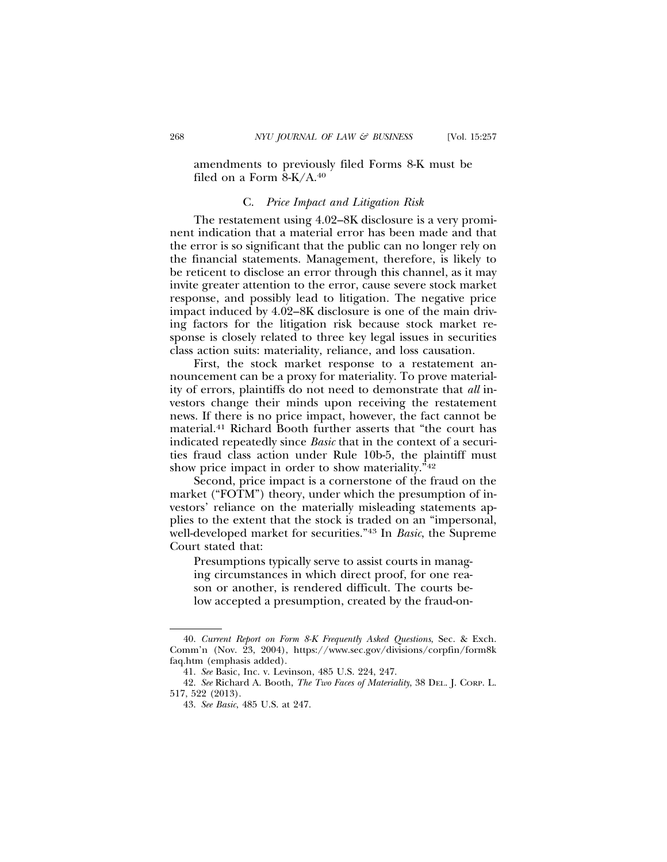# amendments to previously filed Forms 8-K must be filed on a Form 8-K/A.40

# C. *Price Impact and Litigation Risk*

The restatement using 4.02–8K disclosure is a very prominent indication that a material error has been made and that the error is so significant that the public can no longer rely on the financial statements. Management, therefore, is likely to be reticent to disclose an error through this channel, as it may invite greater attention to the error, cause severe stock market response, and possibly lead to litigation. The negative price impact induced by 4.02–8K disclosure is one of the main driving factors for the litigation risk because stock market response is closely related to three key legal issues in securities class action suits: materiality, reliance, and loss causation.

First, the stock market response to a restatement announcement can be a proxy for materiality. To prove materiality of errors, plaintiffs do not need to demonstrate that *all* investors change their minds upon receiving the restatement news. If there is no price impact, however, the fact cannot be material.41 Richard Booth further asserts that "the court has indicated repeatedly since *Basic* that in the context of a securities fraud class action under Rule 10b-5, the plaintiff must show price impact in order to show materiality."42

Second, price impact is a cornerstone of the fraud on the market ("FOTM") theory, under which the presumption of investors' reliance on the materially misleading statements applies to the extent that the stock is traded on an "impersonal, well-developed market for securities."43 In *Basic*, the Supreme Court stated that:

Presumptions typically serve to assist courts in managing circumstances in which direct proof, for one reason or another, is rendered difficult. The courts below accepted a presumption, created by the fraud-on-

<sup>40.</sup> *Current Report on Form 8-K Frequently Asked Questions*, Sec. & Exch. Comm'n (Nov. 23, 2004), https://www.sec.gov/divisions/corpfin/form8k faq.htm (emphasis added).

<sup>41.</sup> *See* Basic, Inc. v. Levinson, 485 U.S. 224, 247.

<sup>42.</sup> *See* Richard A. Booth, *The Two Faces of Materiality*, 38 DEL. J. CORP. L. 517, 522 (2013).

<sup>43.</sup> *See Basic*, 485 U.S. at 247.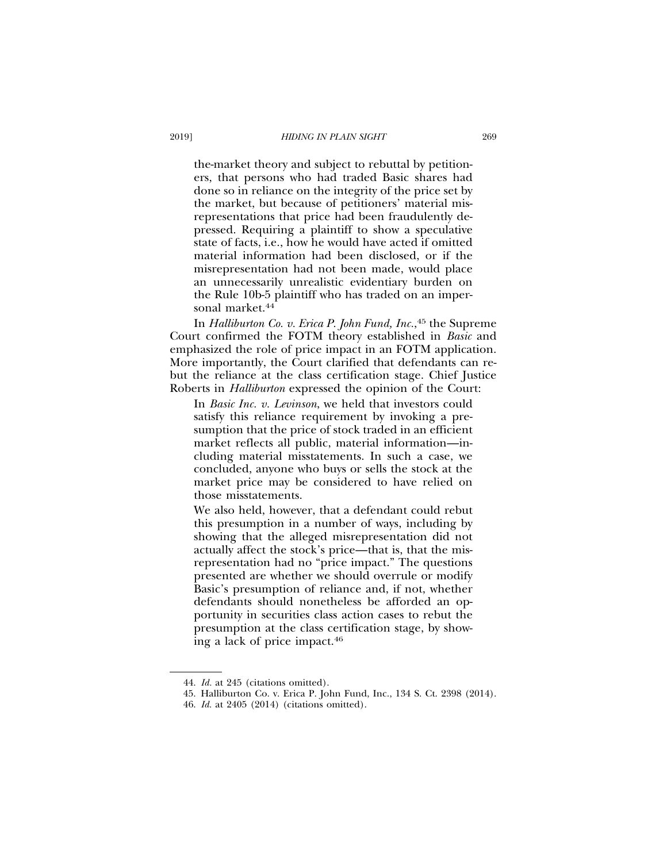the-market theory and subject to rebuttal by petitioners, that persons who had traded Basic shares had done so in reliance on the integrity of the price set by the market, but because of petitioners' material misrepresentations that price had been fraudulently depressed. Requiring a plaintiff to show a speculative state of facts, i.e., how he would have acted if omitted material information had been disclosed, or if the misrepresentation had not been made, would place an unnecessarily unrealistic evidentiary burden on the Rule 10b-5 plaintiff who has traded on an impersonal market.<sup>44</sup>

In *Halliburton Co. v. Erica P. John Fund, Inc.*, 45 the Supreme Court confirmed the FOTM theory established in *Basic* and emphasized the role of price impact in an FOTM application. More importantly, the Court clarified that defendants can rebut the reliance at the class certification stage. Chief Justice Roberts in *Halliburton* expressed the opinion of the Court:

In *Basic Inc. v. Levinson*, we held that investors could satisfy this reliance requirement by invoking a presumption that the price of stock traded in an efficient market reflects all public, material information—including material misstatements. In such a case, we concluded, anyone who buys or sells the stock at the market price may be considered to have relied on those misstatements.

We also held, however, that a defendant could rebut this presumption in a number of ways, including by showing that the alleged misrepresentation did not actually affect the stock's price—that is, that the misrepresentation had no "price impact." The questions presented are whether we should overrule or modify Basic's presumption of reliance and, if not, whether defendants should nonetheless be afforded an opportunity in securities class action cases to rebut the presumption at the class certification stage, by showing a lack of price impact.46

<sup>44.</sup> *Id.* at 245 (citations omitted).

<sup>45.</sup> Halliburton Co. v. Erica P. John Fund, Inc., 134 S. Ct. 2398 (2014).

<sup>46.</sup> *Id.* at 2405 (2014) (citations omitted).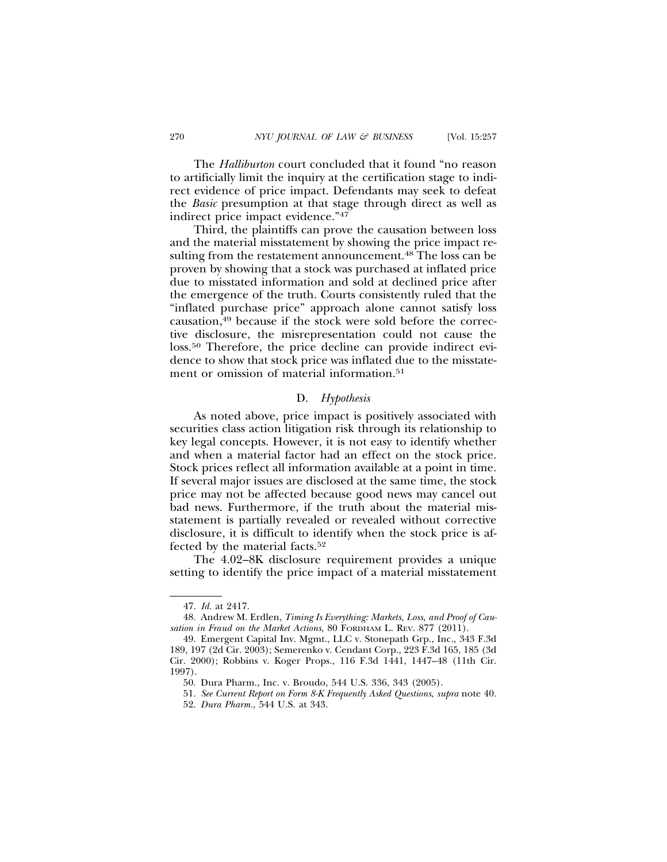The *Halliburton* court concluded that it found "no reason to artificially limit the inquiry at the certification stage to indirect evidence of price impact. Defendants may seek to defeat the *Basic* presumption at that stage through direct as well as indirect price impact evidence."47

Third, the plaintiffs can prove the causation between loss and the material misstatement by showing the price impact resulting from the restatement announcement.<sup>48</sup> The loss can be proven by showing that a stock was purchased at inflated price due to misstated information and sold at declined price after the emergence of the truth. Courts consistently ruled that the "inflated purchase price" approach alone cannot satisfy loss causation,49 because if the stock were sold before the corrective disclosure, the misrepresentation could not cause the loss.50 Therefore, the price decline can provide indirect evidence to show that stock price was inflated due to the misstatement or omission of material information.<sup>51</sup>

## D. *Hypothesis*

As noted above, price impact is positively associated with securities class action litigation risk through its relationship to key legal concepts. However, it is not easy to identify whether and when a material factor had an effect on the stock price. Stock prices reflect all information available at a point in time. If several major issues are disclosed at the same time, the stock price may not be affected because good news may cancel out bad news. Furthermore, if the truth about the material misstatement is partially revealed or revealed without corrective disclosure, it is difficult to identify when the stock price is affected by the material facts.52

The 4.02–8K disclosure requirement provides a unique setting to identify the price impact of a material misstatement

<sup>47.</sup> *Id.* at 2417.

<sup>48.</sup> Andrew M. Erdlen, *Timing Is Everything: Markets, Loss, and Proof of Causation in Fraud on the Market Actions*, 80 FORDHAM L. REV. 877 (2011).

<sup>49.</sup> Emergent Capital Inv. Mgmt., LLC v. Stonepath Grp., Inc., 343 F.3d 189, 197 (2d Cir. 2003); Semerenko v. Cendant Corp., 223 F.3d 165, 185 (3d Cir. 2000); Robbins v. Koger Props., 116 F.3d 1441, 1447–48 (11th Cir. 1997).

<sup>50.</sup> Dura Pharm., Inc. v. Broudo, 544 U.S. 336, 343 (2005).

<sup>51.</sup> *See Current Report on Form 8-K Frequently Asked Questions*, *supra* note 40. 52. *Dura Pharm.*, 544 U.S. at 343.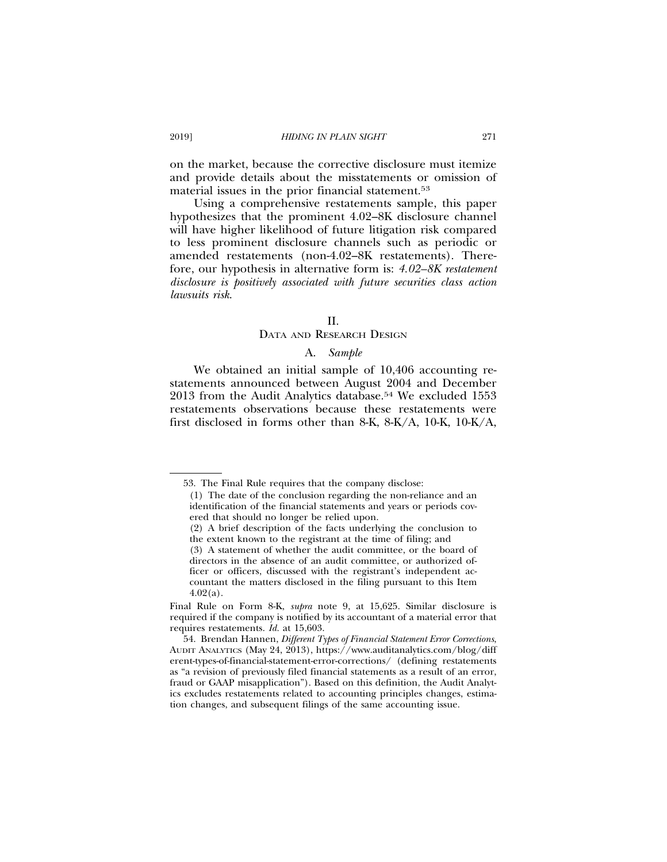on the market, because the corrective disclosure must itemize and provide details about the misstatements or omission of material issues in the prior financial statement.53

Using a comprehensive restatements sample, this paper hypothesizes that the prominent 4.02–8K disclosure channel will have higher likelihood of future litigation risk compared to less prominent disclosure channels such as periodic or amended restatements (non-4.02–8K restatements). Therefore, our hypothesis in alternative form is: *4.02–8K restatement disclosure is positively associated with future securities class action lawsuits risk*.

#### $II$ .

## DATA AND RESEARCH DESIGN

#### A. *Sample*

We obtained an initial sample of 10,406 accounting restatements announced between August 2004 and December 2013 from the Audit Analytics database.54 We excluded 1553 restatements observations because these restatements were first disclosed in forms other than 8-K, 8-K/A, 10-K, 10-K/A,

<sup>53.</sup> The Final Rule requires that the company disclose:

<sup>(1)</sup> The date of the conclusion regarding the non-reliance and an identification of the financial statements and years or periods covered that should no longer be relied upon.

<sup>(2)</sup> A brief description of the facts underlying the conclusion to the extent known to the registrant at the time of filing; and

<sup>(3)</sup> A statement of whether the audit committee, or the board of directors in the absence of an audit committee, or authorized officer or officers, discussed with the registrant's independent accountant the matters disclosed in the filing pursuant to this Item  $4.02(a)$ .

Final Rule on Form 8-K, *supra* note 9, at 15,625. Similar disclosure is required if the company is notified by its accountant of a material error that requires restatements. *Id.* at 15,603.

<sup>54.</sup> Brendan Hannen, *Different Types of Financial Statement Error Corrections*, AUDIT ANALYTICS (May 24, 2013), https://www.auditanalytics.com/blog/diff erent-types-of-financial-statement-error-corrections/ (defining restatements as "a revision of previously filed financial statements as a result of an error, fraud or GAAP misapplication"). Based on this definition, the Audit Analytics excludes restatements related to accounting principles changes, estimation changes, and subsequent filings of the same accounting issue.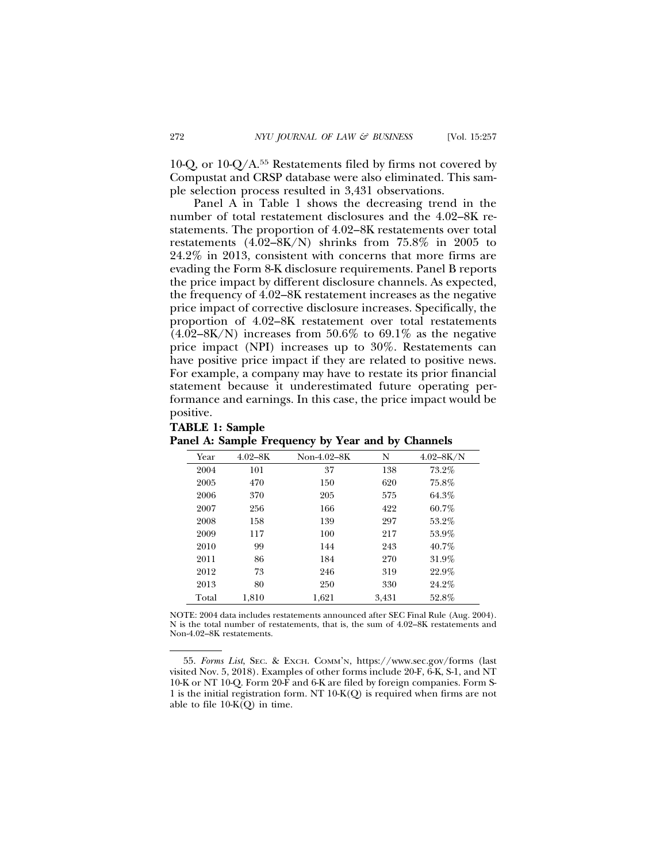10-Q, or 10-Q/A.55 Restatements filed by firms not covered by Compustat and CRSP database were also eliminated. This sample selection process resulted in 3,431 observations.

Panel A in Table 1 shows the decreasing trend in the number of total restatement disclosures and the 4.02–8K restatements. The proportion of 4.02–8K restatements over total restatements  $(4.02-8K/N)$  shrinks from 75.8% in 2005 to 24.2% in 2013, consistent with concerns that more firms are evading the Form 8-K disclosure requirements. Panel B reports the price impact by different disclosure channels. As expected, the frequency of 4.02–8K restatement increases as the negative price impact of corrective disclosure increases. Specifically, the proportion of 4.02–8K restatement over total restatements  $(4.02-8K/N)$  increases from 50.6% to 69.1% as the negative price impact (NPI) increases up to 30%. Restatements can have positive price impact if they are related to positive news. For example, a company may have to restate its prior financial statement because it underestimated future operating performance and earnings. In this case, the price impact would be positive.

| Year  | $4.02 - 8K$ | Non-4.02-8K | N     | $4.02 - 8K/N$ |
|-------|-------------|-------------|-------|---------------|
| 2004  | 101         | 37          | 138   | 73.2%         |
| 2005  | 470         | 150         | 620   | 75.8%         |
| 2006  | 370         | 205         | 575   | 64.3%         |
| 2007  | 256         | 166         | 422   | 60.7%         |
| 2008  | 158         | 139         | 297   | 53.2%         |
| 2009  | 117         | 100         | 217   | 53.9%         |
| 2010  | 99          | 144         | 243   | 40.7%         |
| 2011  | 86          | 184         | 270   | 31.9%         |
| 2012  | 73          | 246         | 319   | 22.9%         |
| 2013  | 80          | 250         | 330   | 24.2%         |
| Total | 1,810       | 1,621       | 3,431 | 52.8%         |

**Panel A: Sample Frequency by Year and by Channels**

**TABLE 1: Sample**

NOTE: 2004 data includes restatements announced after SEC Final Rule (Aug. 2004). N is the total number of restatements, that is, the sum of 4.02–8K restatements and Non-4.02–8K restatements.

55. *Forms List*, SEC. & EXCH. COMM'N, https://www.sec.gov/forms (last visited Nov. 5, 2018). Examples of other forms include 20-F, 6-K, S-1, and NT 10-K or NT 10-Q. Form 20-F and 6-K are filed by foreign companies. Form S-1 is the initial registration form. NT 10-K(Q) is required when firms are not able to file 10-K(Q) in time.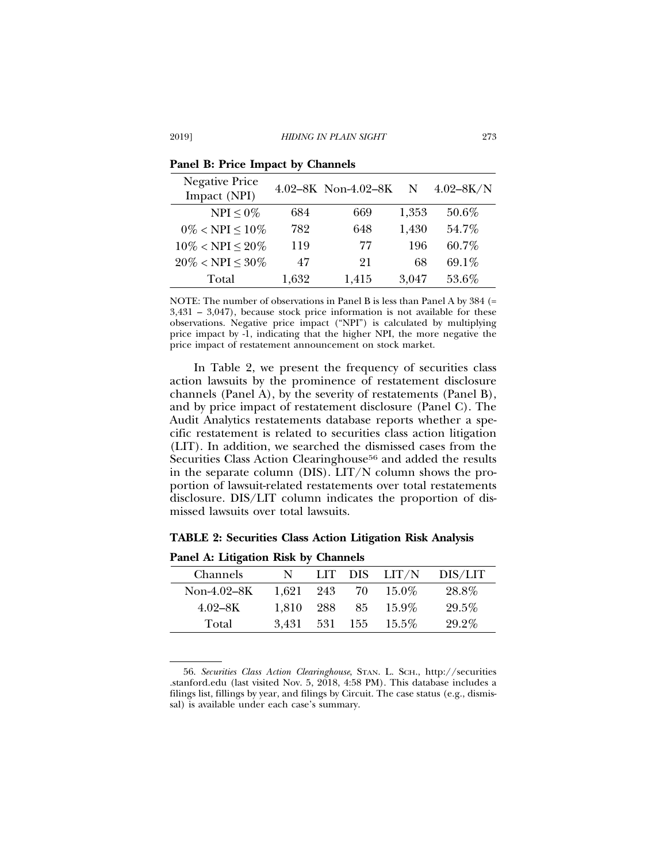| <b>Negative Price</b><br>Impact (NPI) |       | 4.02-8K Non-4.02-8K | N     | $4.02 - 8K/N$ |
|---------------------------------------|-------|---------------------|-------|---------------|
| $NPI < 0\%$                           | 684   | 669                 | 1,353 | 50.6%         |
| $0\% < NPI < 10\%$                    | 782   | 648                 | 1,430 | 54.7%         |
| $10\% < NPI < 20\%$                   | 119   | 77                  | 196   | 60.7%         |
| $20\% < NPI \leq 30\%$                | 47    | 21                  | 68    | 69.1%         |
| Total                                 | 1,632 | 1,415               | 3,047 | 53.6%         |

**Panel B: Price Impact by Channels**

NOTE: The number of observations in Panel B is less than Panel A by 384 (= 3,431 – 3,047), because stock price information is not available for these observations. Negative price impact ("NPI") is calculated by multiplying price impact by -1, indicating that the higher NPI, the more negative the price impact of restatement announcement on stock market.

In Table 2, we present the frequency of securities class action lawsuits by the prominence of restatement disclosure channels (Panel A), by the severity of restatements (Panel B), and by price impact of restatement disclosure (Panel C). The Audit Analytics restatements database reports whether a specific restatement is related to securities class action litigation (LIT). In addition, we searched the dismissed cases from the Securities Class Action Clearinghouse<sup>56</sup> and added the results in the separate column (DIS). LIT/N column shows the proportion of lawsuit-related restatements over total restatements disclosure. DIS/LIT column indicates the proportion of dismissed lawsuits over total lawsuits.

# **TABLE 2: Securities Class Action Litigation Risk Analysis**

| Channels    | N     |         |    | LIT $DIS$ LIT/N | DIS/LIT |
|-------------|-------|---------|----|-----------------|---------|
| Non-4.02-8K | 1,621 | 243     | 70 | 15.0%           | 28.8%   |
| $4.02 - 8K$ | 1.810 | 288     | 85 | 15.9%           | 29.5%   |
| Total       | 3.431 | 531 155 |    | $15.5\%$        | 29.2%   |

**Panel A: Litigation Risk by Channels**

56. *Securities Class Action Clearinghouse*, STAN. L. SCH., http://securities .stanford.edu (last visited Nov. 5, 2018, 4:58 PM). This database includes a filings list, fillings by year, and filings by Circuit. The case status (e.g., dismissal) is available under each case's summary.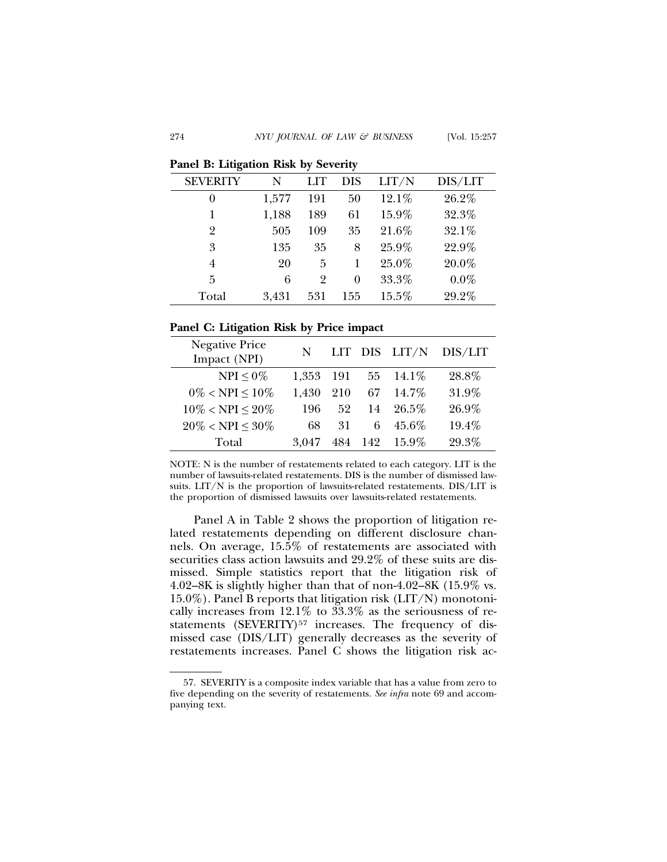**Panel B: Litigation Risk by Severity**

| <b>SEVERITY</b> | N     | LIT | <b>DIS</b> | LIT/N | DIS/LIT |
|-----------------|-------|-----|------------|-------|---------|
| $\theta$        | 1,577 | 191 | 50         | 12.1% | 26.2%   |
|                 | 1,188 | 189 | 61         | 15.9% | 32.3%   |
| $\overline{2}$  | 505   | 109 | 35         | 21.6% | 32.1%   |
| 3               | 135   | 35  | 8          | 25.9% | 22.9%   |
| 4               | 20    | 5   |            | 25.0% | 20.0%   |
| 5               | 6     | 2   | 0          | 33.3% | $0.0\%$ |
| Total           | 3,431 | 531 | 155        | 15.5% | 29.2%   |

## **Panel C: Litigation Risk by Price impact**

| <b>Negative Price</b><br>Impact (NPI) | N     |     |     | LIT DIS LIT/N | DIS/LIT |
|---------------------------------------|-------|-----|-----|---------------|---------|
| NPI $\leq 0\%$                        | 1,353 | 191 | 55  | $14.1\%$      | 28.8%   |
| $0\% < \text{NPI} \leq 10\%$          | 1,430 | 210 | 67  | $14.7\%$      | 31.9%   |
| $10\% < NPI \leq 20\%$                | 196   | 52  | 14  | $26.5\%$      | 26.9%   |
| $20\% < NPI \leq 30\%$                | 68    | 31  | 6   | $45.6\%$      | 19.4%   |
| Total                                 | 3.047 | 484 | 142 | 15.9%         | 29.3%   |

NOTE: N is the number of restatements related to each category. LIT is the number of lawsuits-related restatements. DIS is the number of dismissed lawsuits. LIT/N is the proportion of lawsuits-related restatements. DIS/LIT is the proportion of dismissed lawsuits over lawsuits-related restatements.

Panel A in Table 2 shows the proportion of litigation related restatements depending on different disclosure channels. On average, 15.5% of restatements are associated with securities class action lawsuits and 29.2% of these suits are dismissed. Simple statistics report that the litigation risk of 4.02–8K is slightly higher than that of non-4.02–8K (15.9% vs. 15.0%). Panel B reports that litigation risk (LIT/N) monotonically increases from 12.1% to 33.3% as the seriousness of restatements (SEVERITY)<sup>57</sup> increases. The frequency of dismissed case (DIS/LIT) generally decreases as the severity of restatements increases. Panel C shows the litigation risk ac-

<sup>57.</sup> SEVERITY is a composite index variable that has a value from zero to five depending on the severity of restatements. *See infra* note 69 and accompanying text.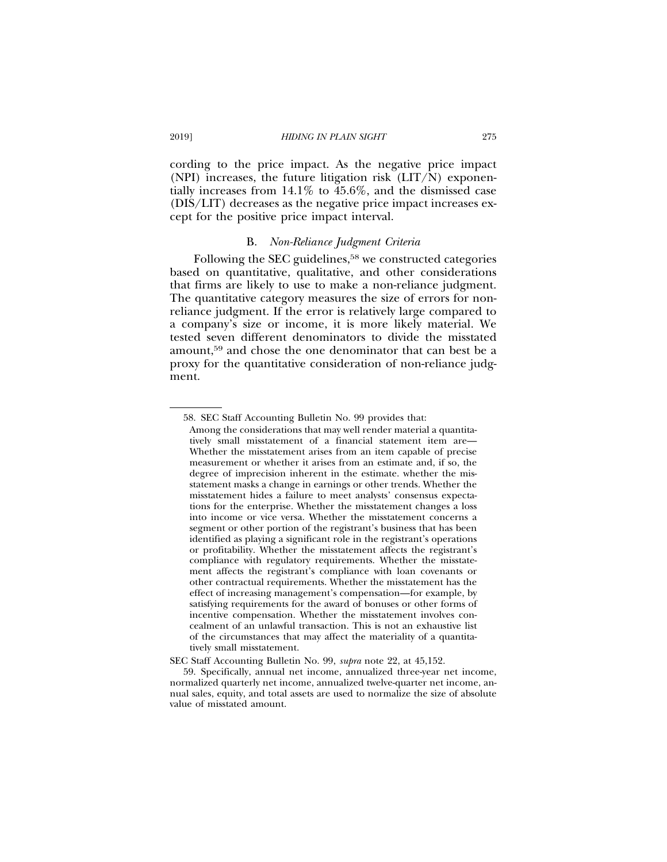cording to the price impact. As the negative price impact (NPI) increases, the future litigation risk  $(LIT/N)$  exponentially increases from 14.1% to 45.6%, and the dismissed case (DIS/LIT) decreases as the negative price impact increases except for the positive price impact interval.

## B. *Non-Reliance Judgment Criteria*

Following the SEC guidelines,<sup>58</sup> we constructed categories based on quantitative, qualitative, and other considerations that firms are likely to use to make a non-reliance judgment. The quantitative category measures the size of errors for nonreliance judgment. If the error is relatively large compared to a company's size or income, it is more likely material. We tested seven different denominators to divide the misstated amount,59 and chose the one denominator that can best be a proxy for the quantitative consideration of non-reliance judgment.

<sup>58.</sup> SEC Staff Accounting Bulletin No. 99 provides that:

Among the considerations that may well render material a quantitatively small misstatement of a financial statement item are— Whether the misstatement arises from an item capable of precise measurement or whether it arises from an estimate and, if so, the degree of imprecision inherent in the estimate. whether the misstatement masks a change in earnings or other trends. Whether the misstatement hides a failure to meet analysts' consensus expectations for the enterprise. Whether the misstatement changes a loss into income or vice versa. Whether the misstatement concerns a segment or other portion of the registrant's business that has been identified as playing a significant role in the registrant's operations or profitability. Whether the misstatement affects the registrant's compliance with regulatory requirements. Whether the misstatement affects the registrant's compliance with loan covenants or other contractual requirements. Whether the misstatement has the effect of increasing management's compensation—for example, by satisfying requirements for the award of bonuses or other forms of incentive compensation. Whether the misstatement involves concealment of an unlawful transaction. This is not an exhaustive list of the circumstances that may affect the materiality of a quantitatively small misstatement.

SEC Staff Accounting Bulletin No. 99, *supra* note 22, at 45,152.

<sup>59.</sup> Specifically, annual net income, annualized three-year net income, normalized quarterly net income, annualized twelve-quarter net income, annual sales, equity, and total assets are used to normalize the size of absolute value of misstated amount.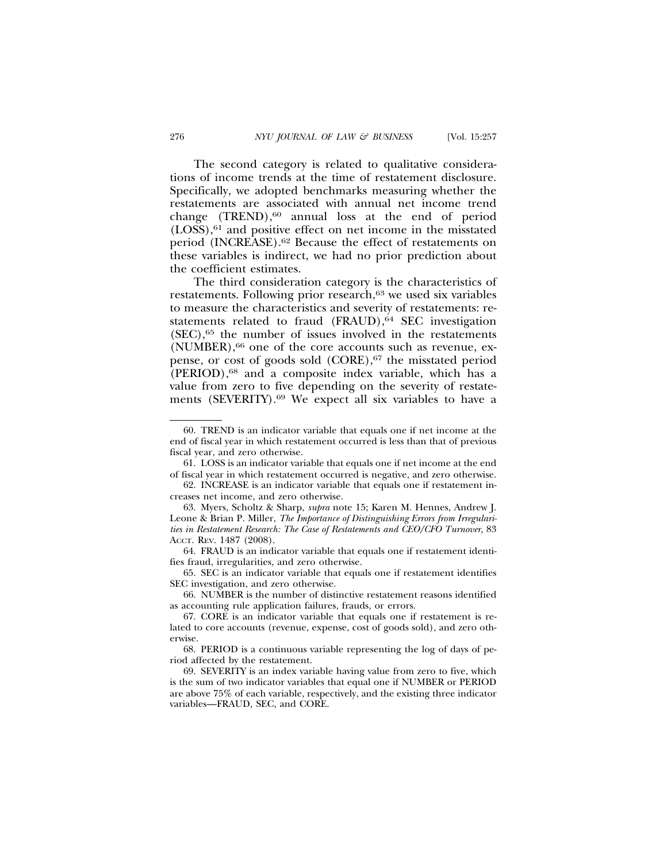The second category is related to qualitative considerations of income trends at the time of restatement disclosure. Specifically, we adopted benchmarks measuring whether the restatements are associated with annual net income trend change  $(TREND)$ ,<sup>60</sup> annual loss at the end of period (LOSS),61 and positive effect on net income in the misstated period (INCREASE).62 Because the effect of restatements on these variables is indirect, we had no prior prediction about the coefficient estimates.

The third consideration category is the characteristics of restatements. Following prior research,<sup>63</sup> we used six variables to measure the characteristics and severity of restatements: restatements related to fraud  $(FRAUD)$ ,  $64$  SEC investigation  $(SEC).<sup>65</sup>$  the number of issues involved in the restatements (NUMBER),66 one of the core accounts such as revenue, expense, or cost of goods sold (CORE),<sup>67</sup> the misstated period (PERIOD),68 and a composite index variable, which has a value from zero to five depending on the severity of restatements (SEVERITY).69 We expect all six variables to have a

<sup>60.</sup> TREND is an indicator variable that equals one if net income at the end of fiscal year in which restatement occurred is less than that of previous fiscal year, and zero otherwise.

<sup>61.</sup> LOSS is an indicator variable that equals one if net income at the end of fiscal year in which restatement occurred is negative, and zero otherwise.

<sup>62.</sup> INCREASE is an indicator variable that equals one if restatement increases net income, and zero otherwise.

<sup>63.</sup> Myers, Scholtz & Sharp, *supra* note 15; Karen M. Hennes, Andrew J. Leone & Brian P. Miller, *The Importance of Distinguishing Errors from Irregularities in Restatement Research: The Case of Restatements and CEO/CFO Turnover,* 83 ACCT. REV. 1487 (2008).

<sup>64.</sup> FRAUD is an indicator variable that equals one if restatement identifies fraud, irregularities, and zero otherwise.

<sup>65.</sup> SEC is an indicator variable that equals one if restatement identifies SEC investigation, and zero otherwise.

<sup>66.</sup> NUMBER is the number of distinctive restatement reasons identified as accounting rule application failures, frauds, or errors.

<sup>67.</sup> CORE is an indicator variable that equals one if restatement is related to core accounts (revenue, expense, cost of goods sold), and zero otherwise.

<sup>68.</sup> PERIOD is a continuous variable representing the log of days of period affected by the restatement.

<sup>69.</sup> SEVERITY is an index variable having value from zero to five, which is the sum of two indicator variables that equal one if NUMBER or PERIOD are above 75% of each variable, respectively, and the existing three indicator variables—FRAUD, SEC, and CORE.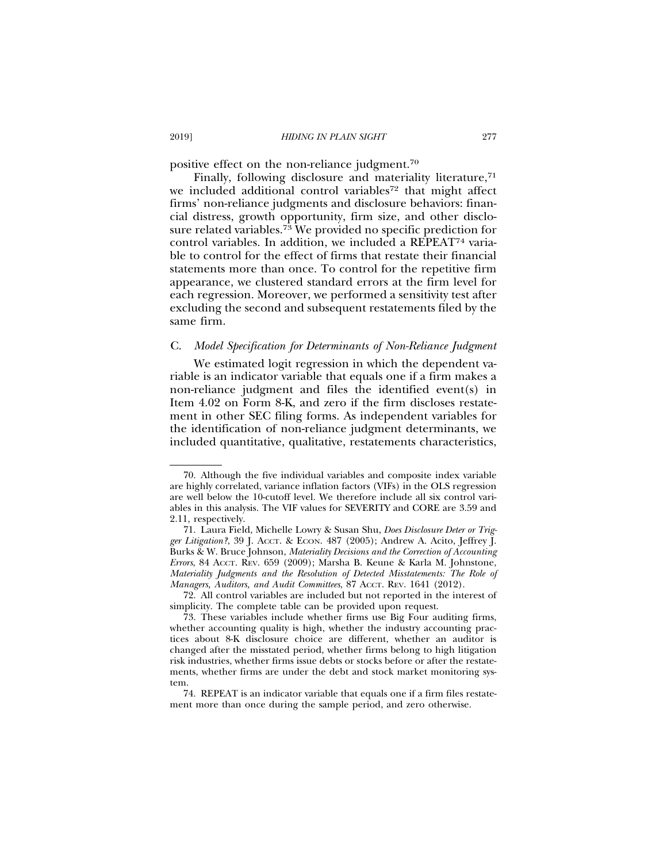positive effect on the non-reliance judgment.70

Finally, following disclosure and materiality literature,<sup>71</sup> we included additional control variables<sup>72</sup> that might affect firms' non-reliance judgments and disclosure behaviors: financial distress, growth opportunity, firm size, and other disclosure related variables.73 We provided no specific prediction for control variables. In addition, we included a REPEAT74 variable to control for the effect of firms that restate their financial statements more than once. To control for the repetitive firm appearance, we clustered standard errors at the firm level for each regression. Moreover, we performed a sensitivity test after excluding the second and subsequent restatements filed by the same firm.

## C. *Model Specification for Determinants of Non-Reliance Judgment*

We estimated logit regression in which the dependent variable is an indicator variable that equals one if a firm makes a non-reliance judgment and files the identified event(s) in Item 4.02 on Form 8-K, and zero if the firm discloses restatement in other SEC filing forms. As independent variables for the identification of non-reliance judgment determinants, we included quantitative, qualitative, restatements characteristics,

<sup>70.</sup> Although the five individual variables and composite index variable are highly correlated, variance inflation factors (VIFs) in the OLS regression are well below the 10-cutoff level. We therefore include all six control variables in this analysis. The VIF values for SEVERITY and CORE are 3.59 and 2.11, respectively.

<sup>71.</sup> Laura Field, Michelle Lowry & Susan Shu, *Does Disclosure Deter or Trigger Litigation?*, 39 J. ACCT. & ECON. 487 (2005); Andrew A. Acito, Jeffrey J. Burks & W. Bruce Johnson, *Materiality Decisions and the Correction of Accounting Errors*, 84 ACCT. REV. 659 (2009); Marsha B. Keune & Karla M. Johnstone, *Materiality Judgments and the Resolution of Detected Misstatements: The Role of Managers, Auditors, and Audit Committees, 87 AccT. REV. 1641 (2012).* 

<sup>72.</sup> All control variables are included but not reported in the interest of simplicity. The complete table can be provided upon request.

<sup>73.</sup> These variables include whether firms use Big Four auditing firms, whether accounting quality is high, whether the industry accounting practices about 8-K disclosure choice are different, whether an auditor is changed after the misstated period, whether firms belong to high litigation risk industries, whether firms issue debts or stocks before or after the restatements, whether firms are under the debt and stock market monitoring system.

<sup>74.</sup> REPEAT is an indicator variable that equals one if a firm files restatement more than once during the sample period, and zero otherwise.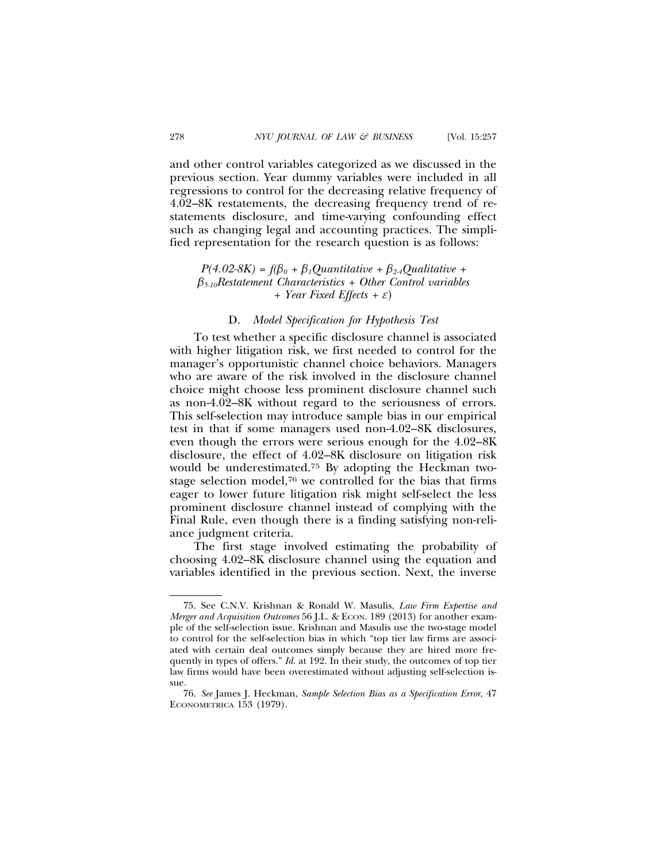and other control variables categorized as we discussed in the previous section. Year dummy variables were included in all regressions to control for the decreasing relative frequency of 4.02–8K restatements, the decreasing frequency trend of restatements disclosure, and time-varying confounding effect such as changing legal and accounting practices. The simplified representation for the research question is as follows:

# $P(4.02-8K) = f(\beta_0 + \beta_1Quantitative + \beta_{2.4} Qualitative +$ b*5-10Restatement Characteristics + Other Control variables + Year Fixed Effects +* e)

## D. *Model Specification for Hypothesis Test*

To test whether a specific disclosure channel is associated with higher litigation risk, we first needed to control for the manager's opportunistic channel choice behaviors. Managers who are aware of the risk involved in the disclosure channel choice might choose less prominent disclosure channel such as non-4.02–8K without regard to the seriousness of errors. This self-selection may introduce sample bias in our empirical test in that if some managers used non-4.02–8K disclosures, even though the errors were serious enough for the 4.02–8K disclosure, the effect of 4.02–8K disclosure on litigation risk would be underestimated.75 By adopting the Heckman twostage selection model,76 we controlled for the bias that firms eager to lower future litigation risk might self-select the less prominent disclosure channel instead of complying with the Final Rule, even though there is a finding satisfying non-reliance judgment criteria.

The first stage involved estimating the probability of choosing 4.02–8K disclosure channel using the equation and variables identified in the previous section. Next, the inverse

<sup>75.</sup> See C.N.V. Krishnan & Ronald W. Masulis, *Law Firm Expertise and Merger and Acquisition Outcomes* 56 J.L. & ECON. 189 (2013) for another example of the self-selection issue. Krishnan and Masulis use the two-stage model to control for the self-selection bias in which "top tier law firms are associated with certain deal outcomes simply because they are hired more frequently in types of offers." *Id.* at 192. In their study, the outcomes of top tier law firms would have been overestimated without adjusting self-selection issue.

<sup>76.</sup> *See* James J. Heckman, *Sample Selection Bias as a Specification Error*, 47 ECONOMETRICA 153 (1979).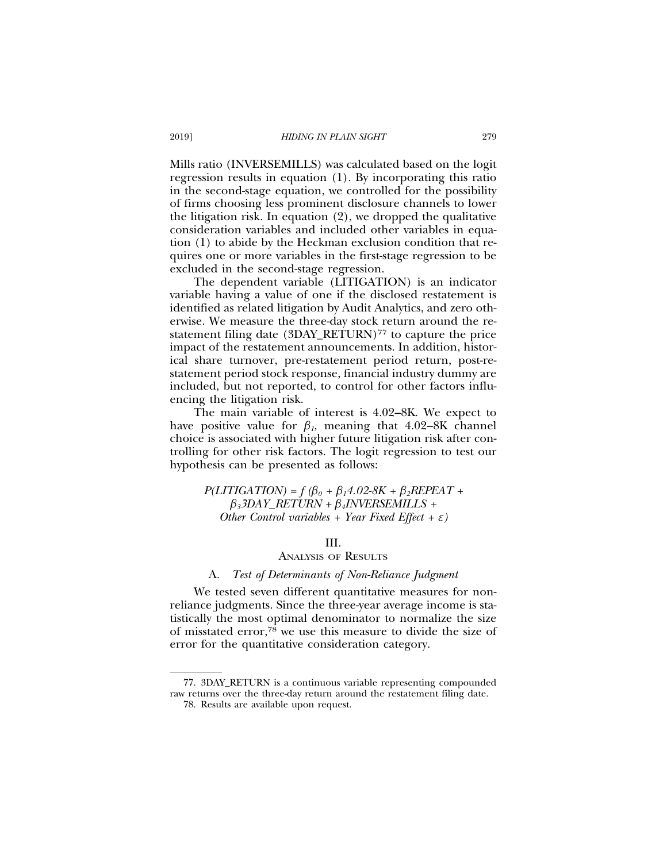Mills ratio (INVERSEMILLS) was calculated based on the logit regression results in equation (1). By incorporating this ratio in the second-stage equation, we controlled for the possibility of firms choosing less prominent disclosure channels to lower the litigation risk. In equation (2), we dropped the qualitative consideration variables and included other variables in equation (1) to abide by the Heckman exclusion condition that requires one or more variables in the first-stage regression to be excluded in the second-stage regression.

The dependent variable (LITIGATION) is an indicator variable having a value of one if the disclosed restatement is identified as related litigation by Audit Analytics, and zero otherwise. We measure the three-day stock return around the restatement filing date (3DAY\_RETURN)<sup>77</sup> to capture the price impact of the restatement announcements. In addition, historical share turnover, pre-restatement period return, post-restatement period stock response, financial industry dummy are included, but not reported, to control for other factors influencing the litigation risk.

The main variable of interest is 4.02–8K. We expect to have positive value for  $\beta_l$ , meaning that 4.02–8K channel choice is associated with higher future litigation risk after controlling for other risk factors. The logit regression to test our hypothesis can be presented as follows:

 $P(LITIGATION) = f (\beta_0 + \beta_1 4.02-8K + \beta_2 REPEAT +$ b*33DAY\_RETURN +* b*4INVERSEMILLS + Other Control variables + Year Fixed Effect +*  $\varepsilon$ *)* 

### III.

# ANALYSIS OF RESULTS

## A. *Test of Determinants of Non-Reliance Judgment*

We tested seven different quantitative measures for nonreliance judgments. Since the three-year average income is statistically the most optimal denominator to normalize the size of misstated error,78 we use this measure to divide the size of error for the quantitative consideration category.

<sup>77. 3</sup>DAY\_RETURN is a continuous variable representing compounded raw returns over the three-day return around the restatement filing date.

<sup>78.</sup> Results are available upon request.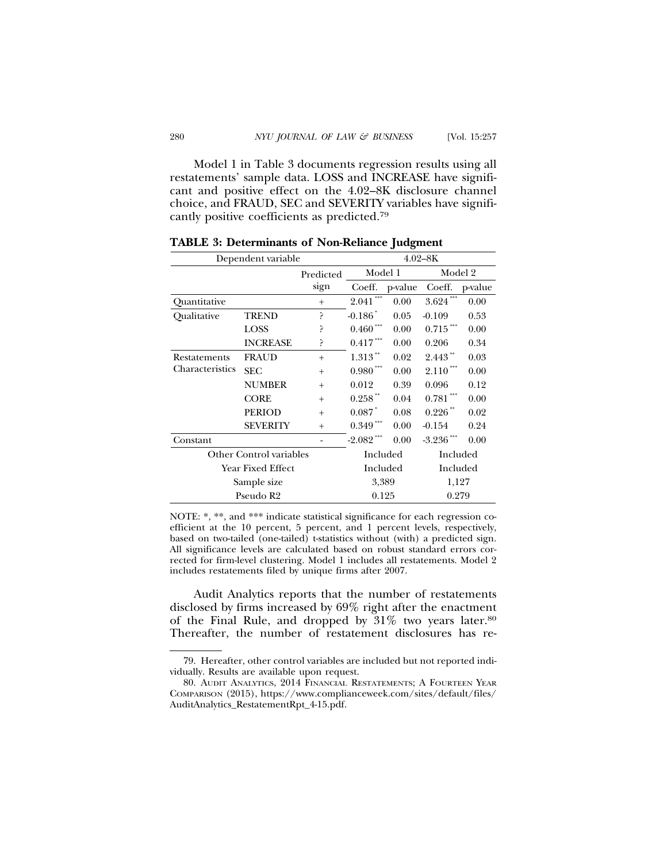Model 1 in Table 3 documents regression results using all restatements' sample data. LOSS and INCREASE have significant and positive effect on the 4.02–8K disclosure channel choice, and FRAUD, SEC and SEVERITY variables have significantly positive coefficients as predicted.79

| Dependent variable             | $4.02 - 8K$     |        |                          |          |                          |          |  |
|--------------------------------|-----------------|--------|--------------------------|----------|--------------------------|----------|--|
|                                | Predicted       |        | Model 1                  |          | Model 2                  |          |  |
|                                |                 | sign   | Coeff.                   | p-value  | Coeff.                   | p-value  |  |
| Quantitative                   |                 | $+$    | ***<br>2.041             | 0.00     | $3.624***$               | 0.00     |  |
| Oualitative                    | <b>TREND</b>    | P      | $-0.186$ <sup>*</sup>    | 0.05     | $-0.109$                 | 0.53     |  |
|                                | <b>LOSS</b>     | ?      | $0.460\,^{***}$          | 0.00     | $0.715\,$ $^{***}$       | 0.00     |  |
|                                | <b>INCREASE</b> | ?      | $0.417***$               | 0.00     | 0.206                    | 0.34     |  |
| Restatements                   | <b>FRAUD</b>    | $+$    | $1.313$ **               | 0.02     | $2.443$ **               | 0.03     |  |
| Characteristics                | <b>SEC</b>      | $^{+}$ | $0.980\,^{\ast\ast\ast}$ | 0.00     | $2.110***$               | 0.00     |  |
|                                | <b>NUMBER</b>   | $^{+}$ | 0.012                    | 0.39     | 0.096                    | 0.12     |  |
|                                | <b>CORE</b>     | $^{+}$ | $0.258\,$ $^\ast\!$      | 0.04     | $0.781\,^{\ast\ast\ast}$ | 0.00     |  |
|                                | <b>PERIOD</b>   | $^{+}$ | $0.087*$                 | 0.08     | $0.226$ **               | 0.02     |  |
|                                | <b>SEVERITY</b> | $+$    | $0.349***$               | 0.00     | $-0.154$                 | 0.24     |  |
| Constant                       |                 |        | $-2.082$ ***             | 0.00     | $-3.236$ ***             | 0.00     |  |
| <b>Other Control variables</b> |                 |        |                          | Included |                          | Included |  |
| Year Fixed Effect              |                 |        | Included                 |          | Included                 |          |  |
|                                | Sample size     |        | 3,389                    |          | 1,127                    |          |  |
|                                | Pseudo R2       |        | 0.125                    |          |                          | 0.279    |  |

**TABLE 3: Determinants of Non-Reliance Judgment**

NOTE: \*, \*\*, and \*\*\* indicate statistical significance for each regression coefficient at the 10 percent, 5 percent, and 1 percent levels, respectively, based on two-tailed (one-tailed) t-statistics without (with) a predicted sign. All significance levels are calculated based on robust standard errors corrected for firm-level clustering. Model 1 includes all restatements. Model 2 includes restatements filed by unique firms after 2007.

Audit Analytics reports that the number of restatements disclosed by firms increased by 69% right after the enactment of the Final Rule, and dropped by 31% two years later.80 Thereafter, the number of restatement disclosures has re-

<sup>79.</sup> Hereafter, other control variables are included but not reported individually. Results are available upon request.

<sup>80.</sup> AUDIT ANALYTICS, 2014 FINANCIAL RESTATEMENTS; A FOURTEEN YEAR COMPARISON (2015), https://www.complianceweek.com/sites/default/files/ AuditAnalytics\_RestatementRpt\_4-15.pdf.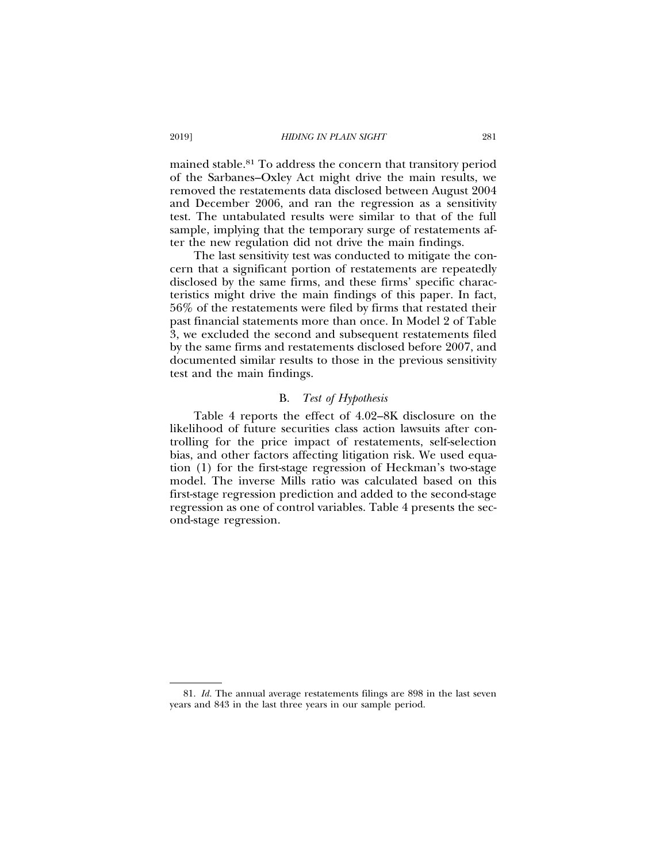mained stable.81 To address the concern that transitory period of the Sarbanes–Oxley Act might drive the main results, we removed the restatements data disclosed between August 2004 and December 2006, and ran the regression as a sensitivity test. The untabulated results were similar to that of the full sample, implying that the temporary surge of restatements after the new regulation did not drive the main findings.

The last sensitivity test was conducted to mitigate the concern that a significant portion of restatements are repeatedly disclosed by the same firms, and these firms' specific characteristics might drive the main findings of this paper. In fact, 56% of the restatements were filed by firms that restated their past financial statements more than once. In Model 2 of Table 3, we excluded the second and subsequent restatements filed by the same firms and restatements disclosed before 2007, and documented similar results to those in the previous sensitivity test and the main findings.

### B. *Test of Hypothesis*

Table 4 reports the effect of 4.02–8K disclosure on the likelihood of future securities class action lawsuits after controlling for the price impact of restatements, self-selection bias, and other factors affecting litigation risk. We used equation (1) for the first-stage regression of Heckman's two-stage model. The inverse Mills ratio was calculated based on this first-stage regression prediction and added to the second-stage regression as one of control variables. Table 4 presents the second-stage regression.

<sup>81.</sup> *Id.* The annual average restatements filings are 898 in the last seven years and 843 in the last three years in our sample period.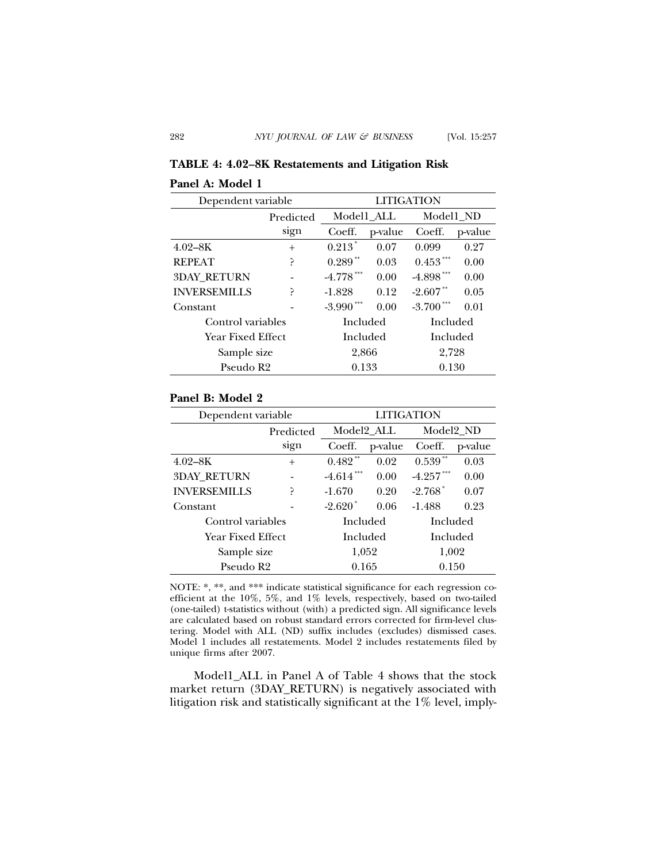# **TABLE 4: 4.02–8K Restatements and Litigation Risk**

# **Panel A: Model 1**

| Dependent variable       | <b>LITIGATION</b> |                |         |              |         |
|--------------------------|-------------------|----------------|---------|--------------|---------|
|                          | Predicted         | Model1 ALL     |         | Model1 ND    |         |
|                          | sign              | Coeff.         | p-value | Coeff.       | p-value |
| $4.02 - 8K$              | $^{+}$            | $0.213*$       | 0.07    | 0.099        | 0.27    |
| <b>REPEAT</b>            | ?                 | $0.289**$      | 0.03    | $0.453***$   | 0.00    |
| <b>3DAY RETURN</b>       |                   | $-4.778$ ***   | 0.00    | $-4.898***$  | 0.00    |
| <b>INVERSEMILLS</b>      | ς                 | $-1.828$       | 0.12    | $-2.607$ **  | 0.05    |
| Constant                 |                   | $-3.990$ ***   | 0.00    | $-3.700$ *** | 0.01    |
| Control variables        |                   | Included       |         | Included     |         |
| <b>Year Fixed Effect</b> |                   | Included       |         | Included     |         |
| Sample size              |                   | 2,728<br>2,866 |         |              |         |
| Pseudo R2                |                   | 0.133          |         | 0.130        |         |

# **Panel B: Model 2**

| Dependent variable       | <b>LITIGATION</b> |                      |         |                       |         |
|--------------------------|-------------------|----------------------|---------|-----------------------|---------|
|                          | Predicted         | Model2_ALL           |         | Model2_ND             |         |
|                          | sign              | Coeff.               | p-value | Coeff.                | p-value |
| $4.02 - 8K$              | $+$               | $0.482$ **           | 0.02    | $0.539***$            | 0.03    |
| <b>3DAY RETURN</b>       |                   | $-4.614$ **          | 0.00    | $-4.257$ ***          | 0.00    |
| <b>INVERSEMILLS</b>      | ς                 | $-1.670$             | 0.20    | $-2.768$ <sup>*</sup> | 0.07    |
| Constant                 |                   | $-2.620"$            | 0.06    | $-1.488$              | 0.23    |
| Control variables        |                   | Included<br>Included |         |                       |         |
| <b>Year Fixed Effect</b> |                   | Included             |         | Included              |         |
| Sample size              |                   | 1,052                |         | 1,002                 |         |
| Pseudo R <sub>2</sub>    |                   | 0.165                |         | 0.150                 |         |

NOTE: \*, \*\*, and \*\*\* indicate statistical significance for each regression coefficient at the 10%, 5%, and 1% levels, respectively, based on two-tailed (one-tailed) t-statistics without (with) a predicted sign. All significance levels are calculated based on robust standard errors corrected for firm-level clustering. Model with ALL (ND) suffix includes (excludes) dismissed cases. Model 1 includes all restatements. Model 2 includes restatements filed by unique firms after 2007.

Model1\_ALL in Panel A of Table 4 shows that the stock market return (3DAY\_RETURN) is negatively associated with litigation risk and statistically significant at the 1% level, imply-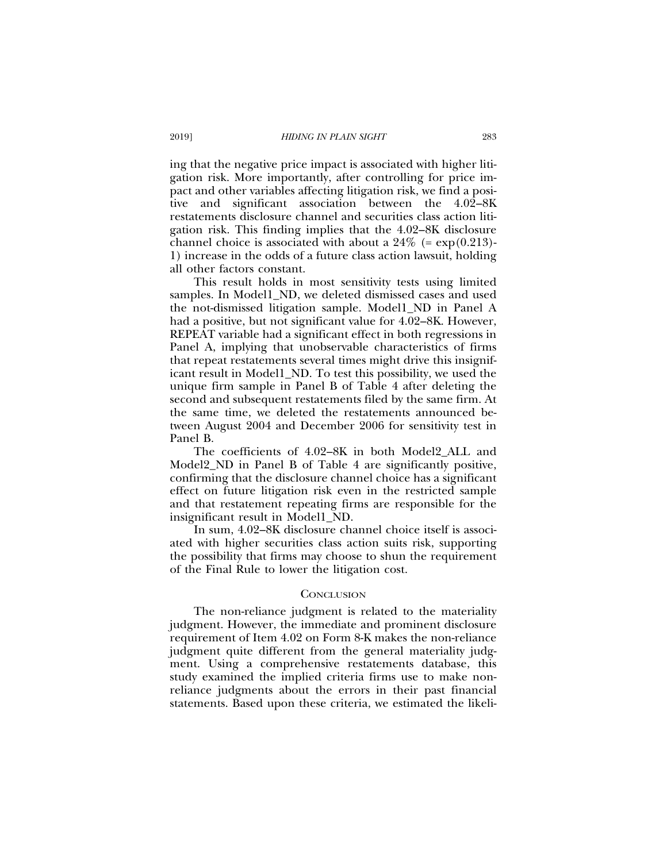ing that the negative price impact is associated with higher litigation risk. More importantly, after controlling for price impact and other variables affecting litigation risk, we find a positive and significant association between the 4.02–8K restatements disclosure channel and securities class action litigation risk. This finding implies that the 4.02–8K disclosure channel choice is associated with about a  $24\%$  (=  $\exp(0.213)$ -1) increase in the odds of a future class action lawsuit, holding all other factors constant.

This result holds in most sensitivity tests using limited samples. In Model1, ND, we deleted dismissed cases and used the not-dismissed litigation sample. Model1\_ND in Panel A had a positive, but not significant value for 4.02–8K. However, REPEAT variable had a significant effect in both regressions in Panel A, implying that unobservable characteristics of firms that repeat restatements several times might drive this insignificant result in Model1\_ND. To test this possibility, we used the unique firm sample in Panel B of Table 4 after deleting the second and subsequent restatements filed by the same firm. At the same time, we deleted the restatements announced between August 2004 and December 2006 for sensitivity test in Panel B.

The coefficients of 4.02–8K in both Model2\_ALL and Model2\_ND in Panel B of Table 4 are significantly positive, confirming that the disclosure channel choice has a significant effect on future litigation risk even in the restricted sample and that restatement repeating firms are responsible for the insignificant result in Model1\_ND.

In sum, 4.02–8K disclosure channel choice itself is associated with higher securities class action suits risk, supporting the possibility that firms may choose to shun the requirement of the Final Rule to lower the litigation cost.

### **CONCLUSION**

The non-reliance judgment is related to the materiality judgment. However, the immediate and prominent disclosure requirement of Item 4.02 on Form 8-K makes the non-reliance judgment quite different from the general materiality judgment. Using a comprehensive restatements database, this study examined the implied criteria firms use to make nonreliance judgments about the errors in their past financial statements. Based upon these criteria, we estimated the likeli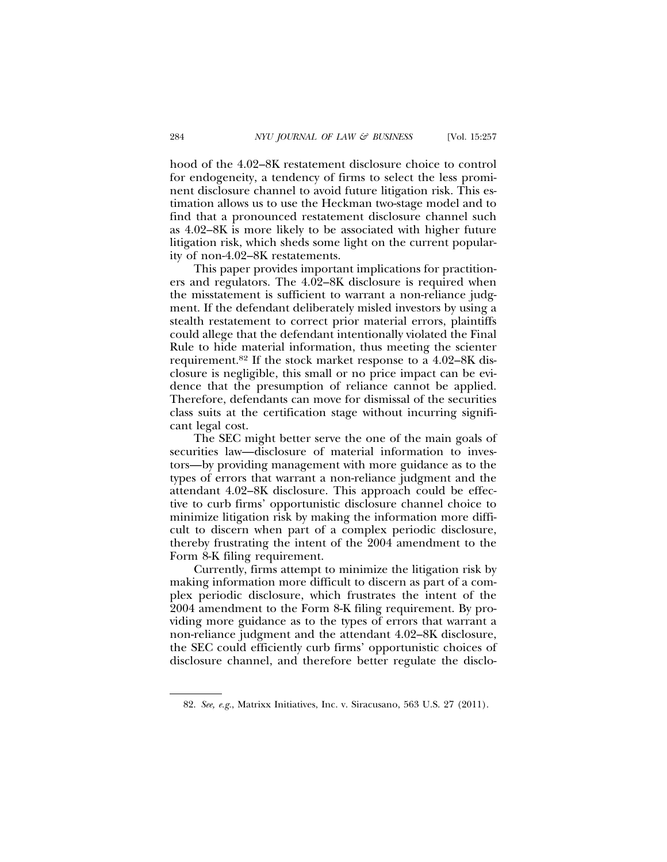hood of the 4.02–8K restatement disclosure choice to control for endogeneity, a tendency of firms to select the less prominent disclosure channel to avoid future litigation risk. This estimation allows us to use the Heckman two-stage model and to find that a pronounced restatement disclosure channel such as 4.02–8K is more likely to be associated with higher future litigation risk, which sheds some light on the current popularity of non-4.02–8K restatements.

This paper provides important implications for practitioners and regulators. The 4.02–8K disclosure is required when the misstatement is sufficient to warrant a non-reliance judgment. If the defendant deliberately misled investors by using a stealth restatement to correct prior material errors, plaintiffs could allege that the defendant intentionally violated the Final Rule to hide material information, thus meeting the scienter requirement.82 If the stock market response to a 4.02–8K disclosure is negligible, this small or no price impact can be evidence that the presumption of reliance cannot be applied. Therefore, defendants can move for dismissal of the securities class suits at the certification stage without incurring significant legal cost.

The SEC might better serve the one of the main goals of securities law—disclosure of material information to investors—by providing management with more guidance as to the types of errors that warrant a non-reliance judgment and the attendant 4.02–8K disclosure. This approach could be effective to curb firms' opportunistic disclosure channel choice to minimize litigation risk by making the information more difficult to discern when part of a complex periodic disclosure, thereby frustrating the intent of the 2004 amendment to the Form 8-K filing requirement.

Currently, firms attempt to minimize the litigation risk by making information more difficult to discern as part of a complex periodic disclosure, which frustrates the intent of the 2004 amendment to the Form 8-K filing requirement. By providing more guidance as to the types of errors that warrant a non-reliance judgment and the attendant 4.02–8K disclosure, the SEC could efficiently curb firms' opportunistic choices of disclosure channel, and therefore better regulate the disclo-

<sup>82.</sup> *See, e.g.*, Matrixx Initiatives, Inc. v. Siracusano, 563 U.S. 27 (2011).